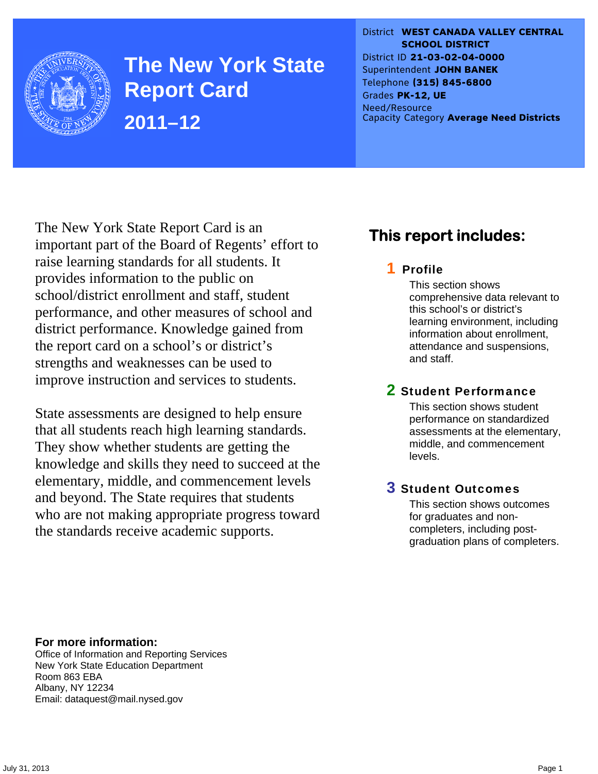

**The New York State Report Card 2011–12** 

District **WEST CANADA VALLEY CENTRAL SCHOOL DISTRICT** District ID **21-03-02-04-0000** Superintendent **JOHN BANEK** Telephone **(315) 845-6800** Grades **PK-12, UE** Need/Resource Capacity Category **Average Need Districts**

The New York State Report Card is an important part of the Board of Regents' effort to raise learning standards for all students. It provides information to the public on school/district enrollment and staff, student performance, and other measures of school and district performance. Knowledge gained from the report card on a school's or district's strengths and weaknesses can be used to improve instruction and services to students.

State assessments are designed to help ensure that all students reach high learning standards. They show whether students are getting the knowledge and skills they need to succeed at the elementary, middle, and commencement levels and beyond. The State requires that students who are not making appropriate progress toward the standards receive academic supports.

## **This report includes:**

### 1 Profile

This section shows comprehensive data relevant to this school's or district's learning environment, including information about enrollment, attendance and suspensions, and staff.

### 2 Student Performance

This section shows student performance on standardized assessments at the elementary, middle, and commencement levels.

### 3 Student Outcomes

This section shows outcomes for graduates and noncompleters, including postgraduation plans of completers.

**For more information:**  Office of Information and Reporting Services New York State Education Department Room 863 EBA Albany, NY 12234

Email: dataquest@mail.nysed.gov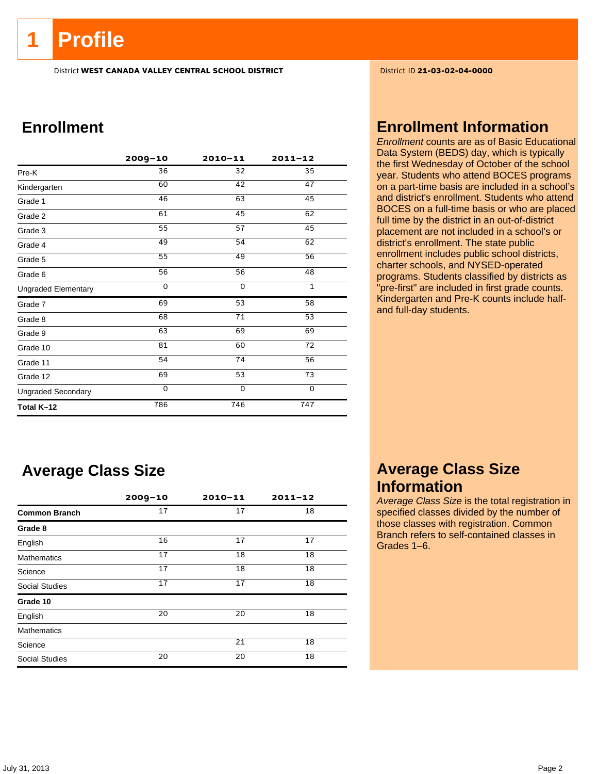## **1 Profile**

District **WEST CANADA VALLEY CENTRAL SCHOOL DISTRICT** District ID **21-03-02-04-0000**

## **Enrollment**

|                            | $2009 - 10$     | $2010 - 11$ | $2011 - 12$     |
|----------------------------|-----------------|-------------|-----------------|
| Pre-K                      | 36              | 32          | 35              |
| Kindergarten               | 60              | 42          | 47              |
| Grade 1                    | 46              | 63          | 45              |
| Grade 2                    | 61              | 45          | 62              |
| Grade 3                    | 55              | 57          | 45              |
| Grade 4                    | 49              | 54          | 62              |
| Grade 5                    | $\overline{55}$ | 49          | $\overline{56}$ |
| Grade 6                    | 56              | 56          | 48              |
| <b>Ungraded Elementary</b> | $\Omega$        | $\Omega$    | $\mathbf{1}$    |
| Grade 7                    | 69              | 53          | 58              |
| Grade 8                    | 68              | 71          | 53              |
| Grade 9                    | 63              | 69          | 69              |
| Grade 10                   | 81              | 60          | 72              |
| Grade 11                   | 54              | 74          | 56              |
| Grade 12                   | 69              | 53          | 73              |
| <b>Ungraded Secondary</b>  | 0               | $\Omega$    | $\mathbf 0$     |
| Total K-12                 | 786             | 746         | 747             |

## **Average Class Size**

|                       | $2009 - 10$ | $2010 - 11$ | $2011 - 12$ |
|-----------------------|-------------|-------------|-------------|
| <b>Common Branch</b>  | 17          | 17          | 18          |
| Grade 8               |             |             |             |
| English               | 16          | 17          | 17          |
| <b>Mathematics</b>    | 17          | 18          | 18          |
| Science               | 17          | 18          | 18          |
| <b>Social Studies</b> | 17          | 17          | 18          |
| Grade 10              |             |             |             |
| English               | 20          | 20          | 18          |
| <b>Mathematics</b>    |             |             |             |
| Science               |             | 21          | 18          |
| <b>Social Studies</b> | 20          | 20          | 18          |

### **Enrollment Information**

*Enrollment* counts are as of Basic Educational Data System (BEDS) day, which is typically the first Wednesday of October of the school year. Students who attend BOCES programs on a part-time basis are included in a school's and district's enrollment. Students who attend BOCES on a full-time basis or who are placed full time by the district in an out-of-district placement are not included in a school's or district's enrollment. The state public enrollment includes public school districts, charter schools, and NYSED-operated programs. Students classified by districts as "pre-first" are included in first grade counts. Kindergarten and Pre-K counts include halfand full-day students.

## **Average Class Size Information**

*Average Class Size* is the total registration in specified classes divided by the number of those classes with registration. Common Branch refers to self-contained classes in Grades 1–6.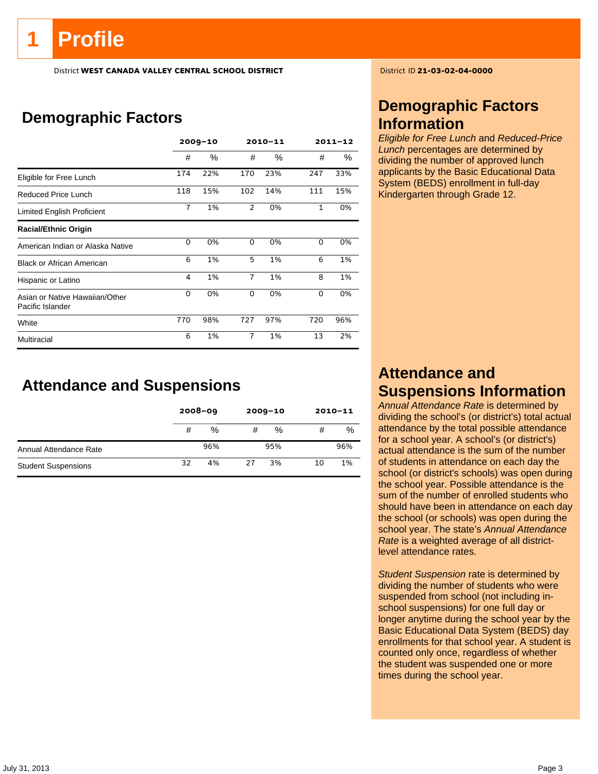# **Profile**

District **WEST CANADA VALLEY CENTRAL SCHOOL DISTRICT** District ID **21-03-02-04-0000**

## **Demographic Factors**

|                                                    | $2009 - 10$    |      | $2010 - 11$    |      | $2011 - 12$ |     |
|----------------------------------------------------|----------------|------|----------------|------|-------------|-----|
|                                                    | #              | $\%$ | #              | $\%$ | #           | ℅   |
| Eligible for Free Lunch                            | 174            | 22%  | 170            | 23%  | 247         | 33% |
| Reduced Price Lunch                                | 118            | 15%  | 102            | 14%  | 111         | 15% |
| Limited English Proficient                         | $\overline{7}$ | 1%   | $\overline{2}$ | 0%   | 1           | 0%  |
| <b>Racial/Ethnic Origin</b>                        |                |      |                |      |             |     |
| American Indian or Alaska Native                   | 0              | 0%   | 0              | 0%   | 0           | 0%  |
| <b>Black or African American</b>                   | 6              | 1%   | 5              | 1%   | 6           | 1%  |
| Hispanic or Latino                                 | 4              | 1%   | $\overline{7}$ | 1%   | 8           | 1%  |
| Asian or Native Hawaiian/Other<br>Pacific Islander | $\Omega$       | 0%   | 0              | 0%   | 0           | 0%  |
| White                                              | 770            | 98%  | 727            | 97%  | 720         | 96% |
| Multiracial                                        | 6              | 1%   | $\overline{7}$ | 1%   | 13          | 2%  |

**Attendance and Suspensions** 

|                            |    | $2008 - 09$ |    | $2009 - 10$ | $2010 - 11$ |     |
|----------------------------|----|-------------|----|-------------|-------------|-----|
|                            | #  | %           | #  | %           | #           | %   |
| Annual Attendance Rate     |    | 96%         |    | 95%         |             | 96% |
| <b>Student Suspensions</b> | 32 | 4%          | 27 | 3%          | 10          | 1%  |

## **Demographic Factors Information**

*Eligible for Free Lunch* and *Reduced-Price Lunch* percentages are determined by dividing the number of approved lunch applicants by the Basic Educational Data System (BEDS) enrollment in full-day Kindergarten through Grade 12.

## **Attendance and Suspensions Information**

*Annual Attendance Rate* is determined by dividing the school's (or district's) total actual attendance by the total possible attendance for a school year. A school's (or district's) actual attendance is the sum of the number of students in attendance on each day the school (or district's schools) was open during the school year. Possible attendance is the sum of the number of enrolled students who should have been in attendance on each day the school (or schools) was open during the school year. The state's *Annual Attendance Rate* is a weighted average of all districtlevel attendance rates.

*Student Suspension* rate is determined by dividing the number of students who were suspended from school (not including inschool suspensions) for one full day or longer anytime during the school year by the Basic Educational Data System (BEDS) day enrollments for that school year. A student is counted only once, regardless of whether the student was suspended one or more times during the school year.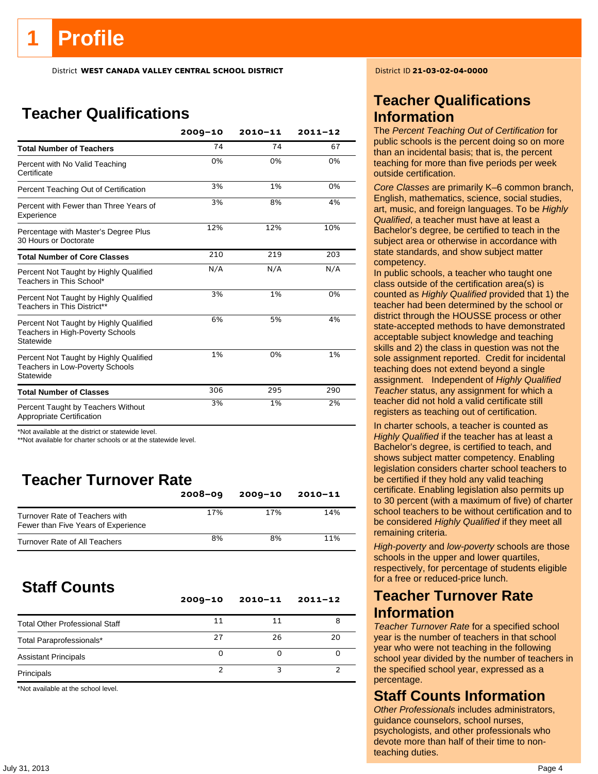District **WEST CANADA VALLEY CENTRAL SCHOOL DISTRICT** District ID **21-03-02-04-0000**

## **Teacher Qualifications**

|                                                                                               | $2009 - 10$ | $2010 - 11$ | $2011 - 12$ |
|-----------------------------------------------------------------------------------------------|-------------|-------------|-------------|
| <b>Total Number of Teachers</b>                                                               | 74          | 74          | 67          |
| Percent with No Valid Teaching<br>Certificate                                                 | 0%          | 0%          | 0%          |
| Percent Teaching Out of Certification                                                         | 3%          | 1%          | 0%          |
| Percent with Fewer than Three Years of<br>Experience                                          | 3%          | 8%          | 4%          |
| Percentage with Master's Degree Plus<br>30 Hours or Doctorate                                 | 12%         | 12%         | 10%         |
| <b>Total Number of Core Classes</b>                                                           | 210         | 219         | 203         |
| Percent Not Taught by Highly Qualified<br>Teachers in This School*                            | N/A         | N/A         | N/A         |
| Percent Not Taught by Highly Qualified<br>Teachers in This District**                         | 3%          | 1%          | 0%          |
| Percent Not Taught by Highly Qualified<br>Teachers in High-Poverty Schools<br>Statewide       | 6%          | 5%          | 4%          |
| Percent Not Taught by Highly Qualified<br><b>Teachers in Low-Poverty Schools</b><br>Statewide | 1%          | 0%          | 1%          |
| <b>Total Number of Classes</b>                                                                | 306         | 295         | 290         |
| Percent Taught by Teachers Without<br>Appropriate Certification                               | 3%          | 1%          | 2%          |

\*Not available at the district or statewide level.

\*\*Not available for charter schools or at the statewide level.

## **Teacher Turnover Rate**

|                                                                       | $2008 - 09$ | $2009 - 10$ | $2010 - 11$ |
|-----------------------------------------------------------------------|-------------|-------------|-------------|
| Turnover Rate of Teachers with<br>Fewer than Five Years of Experience | 17%         | 17%         | 14%         |
| Turnover Rate of All Teachers                                         | 8%          | 8%          | 11%         |

## **Staff Counts**

|                                       | $2009 - 10$ | $2010 - 11$ | $2011 - 12$ |
|---------------------------------------|-------------|-------------|-------------|
| <b>Total Other Professional Staff</b> | 11          | 11          |             |
| Total Paraprofessionals*              | 27          | 26          | 20          |
| <b>Assistant Principals</b>           | Ω           |             |             |
| Principals                            |             |             |             |

\*Not available at the school level.

## **Teacher Qualifications Information**

The *Percent Teaching Out of Certification* for public schools is the percent doing so on more than an incidental basis; that is, the percent teaching for more than five periods per week outside certification.

*Core Classes* are primarily K–6 common branch, English, mathematics, science, social studies, art, music, and foreign languages. To be *Highly Qualified*, a teacher must have at least a Bachelor's degree, be certified to teach in the subject area or otherwise in accordance with state standards, and show subject matter competency.

In public schools, a teacher who taught one class outside of the certification area(s) is counted as *Highly Qualified* provided that 1) the teacher had been determined by the school or district through the HOUSSE process or other state-accepted methods to have demonstrated acceptable subject knowledge and teaching skills and 2) the class in question was not the sole assignment reported. Credit for incidental teaching does not extend beyond a single assignment. Independent of *Highly Qualified Teacher* status, any assignment for which a teacher did not hold a valid certificate still registers as teaching out of certification.

In charter schools, a teacher is counted as *Highly Qualified* if the teacher has at least a Bachelor's degree, is certified to teach, and shows subject matter competency. Enabling legislation considers charter school teachers to be certified if they hold any valid teaching certificate. Enabling legislation also permits up to 30 percent (with a maximum of five) of charter school teachers to be without certification and to be considered *Highly Qualified* if they meet all remaining criteria.

*High-poverty* and *low-poverty* schools are those schools in the upper and lower quartiles, respectively, for percentage of students eligible for a free or reduced-price lunch.

### **Teacher Turnover Rate Information**

*Teacher Turnover Rate* for a specified school year is the number of teachers in that school year who were not teaching in the following school year divided by the number of teachers in the specified school year, expressed as a percentage.

### **Staff Counts Information**

*Other Professionals* includes administrators, guidance counselors, school nurses, psychologists, and other professionals who devote more than half of their time to nonteaching duties.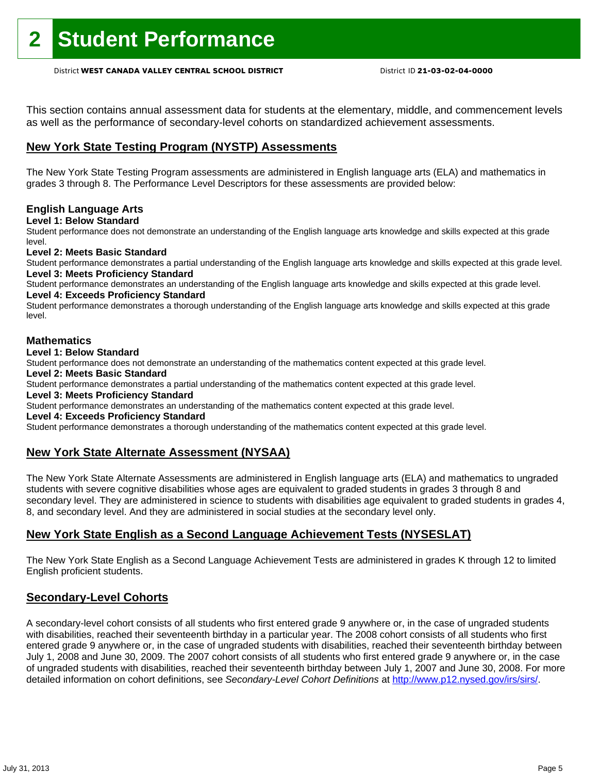This section contains annual assessment data for students at the elementary, middle, and commencement levels as well as the performance of secondary-level cohorts on standardized achievement assessments.

### **New York State Testing Program (NYSTP) Assessments**

The New York State Testing Program assessments are administered in English language arts (ELA) and mathematics in grades 3 through 8. The Performance Level Descriptors for these assessments are provided below:

#### **English Language Arts**

**Level 1: Below Standard** 

Student performance does not demonstrate an understanding of the English language arts knowledge and skills expected at this grade level.

#### **Level 2: Meets Basic Standard**

Student performance demonstrates a partial understanding of the English language arts knowledge and skills expected at this grade level. **Level 3: Meets Proficiency Standard** 

Student performance demonstrates an understanding of the English language arts knowledge and skills expected at this grade level. **Level 4: Exceeds Proficiency Standard** 

Student performance demonstrates a thorough understanding of the English language arts knowledge and skills expected at this grade level.

#### **Mathematics**

#### **Level 1: Below Standard**

Student performance does not demonstrate an understanding of the mathematics content expected at this grade level.

#### **Level 2: Meets Basic Standard**

Student performance demonstrates a partial understanding of the mathematics content expected at this grade level.

#### **Level 3: Meets Proficiency Standard**

Student performance demonstrates an understanding of the mathematics content expected at this grade level.

#### **Level 4: Exceeds Proficiency Standard**

Student performance demonstrates a thorough understanding of the mathematics content expected at this grade level.

### **New York State Alternate Assessment (NYSAA)**

The New York State Alternate Assessments are administered in English language arts (ELA) and mathematics to ungraded students with severe cognitive disabilities whose ages are equivalent to graded students in grades 3 through 8 and secondary level. They are administered in science to students with disabilities age equivalent to graded students in grades 4, 8, and secondary level. And they are administered in social studies at the secondary level only.

#### **New York State English as a Second Language Achievement Tests (NYSESLAT)**

The New York State English as a Second Language Achievement Tests are administered in grades K through 12 to limited English proficient students.

#### **Secondary-Level Cohorts**

A secondary-level cohort consists of all students who first entered grade 9 anywhere or, in the case of ungraded students with disabilities, reached their seventeenth birthday in a particular year. The 2008 cohort consists of all students who first entered grade 9 anywhere or, in the case of ungraded students with disabilities, reached their seventeenth birthday between July 1, 2008 and June 30, 2009. The 2007 cohort consists of all students who first entered grade 9 anywhere or, in the case of ungraded students with disabilities, reached their seventeenth birthday between July 1, 2007 and June 30, 2008. For more detailed information on cohort definitions, see *Secondary-Level Cohort Definitions* at http://www.p12.nysed.gov/irs/sirs/.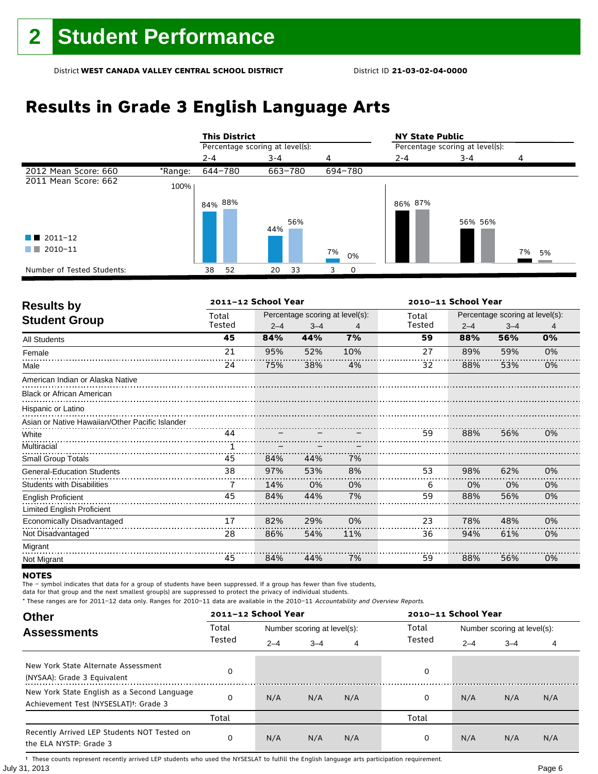## **Results in Grade 3 English Language Arts**

|                            |         | <b>This District</b> |                                 |          |                                 | <b>NY State Public</b> |          |  |  |
|----------------------------|---------|----------------------|---------------------------------|----------|---------------------------------|------------------------|----------|--|--|
|                            |         |                      | Percentage scoring at level(s): |          | Percentage scoring at level(s): |                        |          |  |  |
|                            |         | $2 - 4$              | $3 - 4$                         | 4        | $2 - 4$                         | $3 - 4$                | 4        |  |  |
| 2012 Mean Score: 660       | *Range: | 644-780              | 663-780                         | 694-780  |                                 |                        |          |  |  |
| 2011 Mean Score: 662       | 100%    |                      |                                 |          |                                 |                        |          |  |  |
|                            |         | 84% 88%              | 56%                             |          | 86% 87%                         | 56% 56%                |          |  |  |
| $\blacksquare$ 2011-12     |         |                      | 44%                             |          |                                 |                        |          |  |  |
| 2010-11<br>a sa Tan        |         |                      |                                 | 7%<br>0% |                                 |                        | 7%<br>5% |  |  |
| Number of Tested Students: |         | 38<br>52             | 33<br>20                        | 0<br>3   |                                 |                        |          |  |  |

| <b>Results by</b>                               |        | 2011-12 School Year |                                 |     | 2010-11 School Year |                                 |         |    |
|-------------------------------------------------|--------|---------------------|---------------------------------|-----|---------------------|---------------------------------|---------|----|
| <b>Student Group</b>                            | Total  |                     | Percentage scoring at level(s): |     |                     | Percentage scoring at level(s): |         |    |
|                                                 | Tested | $2 - 4$             | $3 - 4$                         | 4   | Tested              | $2 - 4$                         | $3 - 4$ | 4  |
| All Students                                    | 45     | 84%                 | 44%                             | 7%  | 59                  | 88%                             | 56%     | 0% |
| Female                                          | 21     | 95%                 | 52%                             | 10% | 27                  | 89%                             | 59%     | 0% |
| Male                                            | 24     | 75%                 | 38%                             | 4%  | 32                  | 88%                             | 53%     | 0% |
| American Indian or Alaska Native                |        |                     |                                 |     |                     |                                 |         |    |
| <b>Black or African American</b>                |        |                     |                                 |     |                     |                                 |         |    |
| Hispanic or Latino                              |        |                     |                                 |     |                     |                                 |         |    |
| Asian or Native Hawaiian/Other Pacific Islander |        |                     |                                 |     |                     |                                 |         |    |
| White                                           | 44     |                     |                                 |     | 59                  | 88%                             | 56%     | 0% |
| Multiracial                                     |        |                     |                                 |     |                     |                                 |         |    |
| Small Group Totals                              | 45     | 84%                 | 44%                             | 7%  |                     |                                 |         |    |
| <b>General-Education Students</b>               | 38     | 97%                 | 53%                             | 8%  | 53                  | 98%                             | 62%     | 0% |
| <b>Students with Disabilities</b>               | 7      | 14%                 | 0%                              | 0%  | 6                   | 0%                              | 0%      | 0% |
| <b>English Proficient</b>                       | 45     | 84%                 | 44%                             | 7%  | 59                  | 88%                             | 56%     | 0% |
| Limited English Proficient                      |        |                     |                                 |     |                     |                                 |         |    |
| Economically Disadvantaged                      | 17     | 82%                 | 29%                             | 0%  | 23                  | 78%                             | 48%     | 0% |
| Not Disadvantaged                               | 28     | 86%                 | 54%                             | 11% | 36                  | 94%                             | 61%     | 0% |
| Migrant                                         |        |                     |                                 |     |                     |                                 |         |    |
| Not Migrant                                     | 45     | 84%                 | 44%                             | 7%  | 59                  | 88%                             | 56%     | 0% |

#### **NOTES**

The – symbol indicates that data for a group of students have been suppressed. If a group has fewer than five students,

data for that group and the next smallest group(s) are suppressed to protect the privacy of individual students.

\* These ranges are for 2011–12 data only. Ranges for 2010–11 data are available in the 2010–11 Accountability and Overview Reports.

| <b>Other</b>                                                                                      |        | 2011-12 School Year |                             |     |        | 2010-11 School Year         |         |     |  |
|---------------------------------------------------------------------------------------------------|--------|---------------------|-----------------------------|-----|--------|-----------------------------|---------|-----|--|
| <b>Assessments</b>                                                                                | Total  |                     | Number scoring at level(s): |     | Total  | Number scoring at level(s): |         |     |  |
|                                                                                                   | Tested | $2 - 4$             | $3 - 4$                     | 4   | Tested | $2 - 4$                     | $3 - 4$ | 4   |  |
| New York State Alternate Assessment<br>(NYSAA): Grade 3 Equivalent                                |        |                     |                             |     | 0      |                             |         |     |  |
| New York State English as a Second Language<br>Achievement Test (NYSESLAT) <sup>+</sup> : Grade 3 |        | N/A                 | N/A                         | N/A | 0      | N/A                         | N/A     | N/A |  |
|                                                                                                   | Total  |                     |                             |     | Total  |                             |         |     |  |
| Recently Arrived LEP Students NOT Tested on<br>the ELA NYSTP: Grade 3                             |        | N/A                 | N/A                         | N/A | 0      | N/A                         | N/A     | N/A |  |

July 31, 2013 Page 6 † These counts represent recently arrived LEP students who used the NYSESLAT to fulfill the English language arts participation requirement.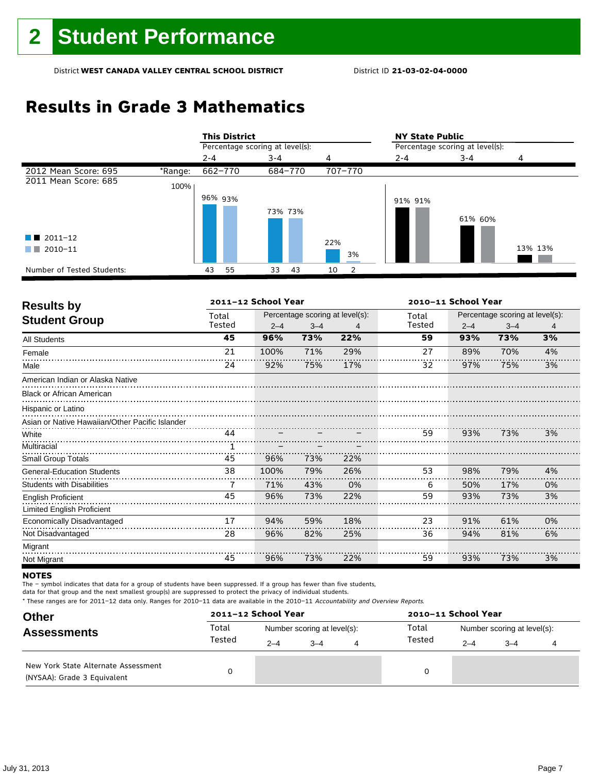## **Results in Grade 3 Mathematics**

|                            |         |                                 | <b>This District</b> |         |    |     |         |         | <b>NY State Public</b>          |         |  |  |  |
|----------------------------|---------|---------------------------------|----------------------|---------|----|-----|---------|---------|---------------------------------|---------|--|--|--|
|                            |         | Percentage scoring at level(s): |                      |         |    |     |         |         | Percentage scoring at level(s): |         |  |  |  |
|                            |         | $2 - 4$                         |                      | $3 - 4$ |    | 4   |         | $2 - 4$ | $3 - 4$                         | 4       |  |  |  |
| 2012 Mean Score: 695       | *Range: | 662-770                         |                      | 684-770 |    |     | 707-770 |         |                                 |         |  |  |  |
| 2011 Mean Score: 685       | 100%    |                                 |                      |         |    |     |         |         |                                 |         |  |  |  |
|                            |         | 96% 93%                         |                      |         |    |     |         | 91% 91% |                                 |         |  |  |  |
|                            |         |                                 |                      | 73% 73% |    |     |         |         | 61% 60%                         |         |  |  |  |
|                            |         |                                 |                      |         |    |     |         |         |                                 |         |  |  |  |
| $\blacksquare$ 2011-12     |         |                                 |                      |         |    | 22% |         |         |                                 |         |  |  |  |
| 2010-11<br>a sa T          |         |                                 |                      |         |    |     | 3%      |         |                                 | 13% 13% |  |  |  |
| Number of Tested Students: |         | 55<br>43                        |                      | 33      | 43 | 10  |         |         |                                 |         |  |  |  |

| <b>Results by</b>                               |        | 2011-12 School Year |                                 |     | 2010-11 School Year |                                 |         |    |
|-------------------------------------------------|--------|---------------------|---------------------------------|-----|---------------------|---------------------------------|---------|----|
| <b>Student Group</b>                            | Total  |                     | Percentage scoring at level(s): |     |                     | Percentage scoring at level(s): |         |    |
|                                                 | Tested | $2 - 4$             | $3 - 4$                         | 4   | Tested              | $2 - 4$                         | $3 - 4$ | 4  |
| <b>All Students</b>                             | 45     | 96%                 | 73%                             | 22% | 59                  | 93%                             | 73%     | 3% |
| Female                                          | 21     | 100%                | 71%                             | 29% | 27                  | 89%                             | 70%     | 4% |
| Male                                            | 24     | 92%                 | 75%                             | 17% | 32                  | 97%                             | 75%     | 3% |
| American Indian or Alaska Native                |        |                     |                                 |     |                     |                                 |         |    |
| <b>Black or African American</b>                |        |                     |                                 |     |                     |                                 |         |    |
| Hispanic or Latino                              |        |                     |                                 |     |                     |                                 |         |    |
| Asian or Native Hawaiian/Other Pacific Islander |        |                     |                                 |     |                     |                                 |         |    |
| White                                           | 44     |                     |                                 |     | 59                  | 93%                             | 73%     | 3% |
| Multiracial                                     |        |                     |                                 |     |                     |                                 |         |    |
| <b>Small Group Totals</b>                       | 45     | 96%                 | 73%                             | 22% |                     |                                 |         |    |
| <b>General-Education Students</b>               | 38     | 100%                | 79%                             | 26% | 53                  | 98%                             | 79%     | 4% |
| <b>Students with Disabilities</b>               | 7      | 71%                 | 43%                             | 0%  | 6                   | 50%                             | 17%     | 0% |
| <b>English Proficient</b>                       | 45     | 96%                 | 73%                             | 22% | 59                  | 93%                             | 73%     | 3% |
| Limited English Proficient                      |        |                     |                                 |     |                     |                                 |         |    |
| Economically Disadvantaged                      | 17     | 94%                 | 59%                             | 18% | 23                  | 91%                             | 61%     | 0% |
| Not Disadvantaged                               | 28     | 96%                 | 82%                             | 25% | 36                  | 94%                             | 81%     | 6% |
| Migrant                                         |        |                     |                                 |     |                     |                                 |         |    |
| Not Migrant                                     | 45     | 96%                 | 73%                             | 22% | 59                  | 93%                             | 73%     | 3% |

#### **NOTES**

The – symbol indicates that data for a group of students have been suppressed. If a group has fewer than five students,

data for that group and the next smallest group(s) are suppressed to protect the privacy of individual students.

| <b>Other</b>                                                       |        | 2011-12 School Year |                             |   | 2010-11 School Year |                             |         |  |  |
|--------------------------------------------------------------------|--------|---------------------|-----------------------------|---|---------------------|-----------------------------|---------|--|--|
| <b>Assessments</b>                                                 | Total  |                     | Number scoring at level(s): |   | Total<br>Tested     | Number scoring at level(s): |         |  |  |
|                                                                    | Tested | $2 - 4$             | $3 - 4$                     | 4 |                     | $2 - 4$                     | $3 - 4$ |  |  |
| New York State Alternate Assessment<br>(NYSAA): Grade 3 Equivalent |        |                     |                             |   | 0                   |                             |         |  |  |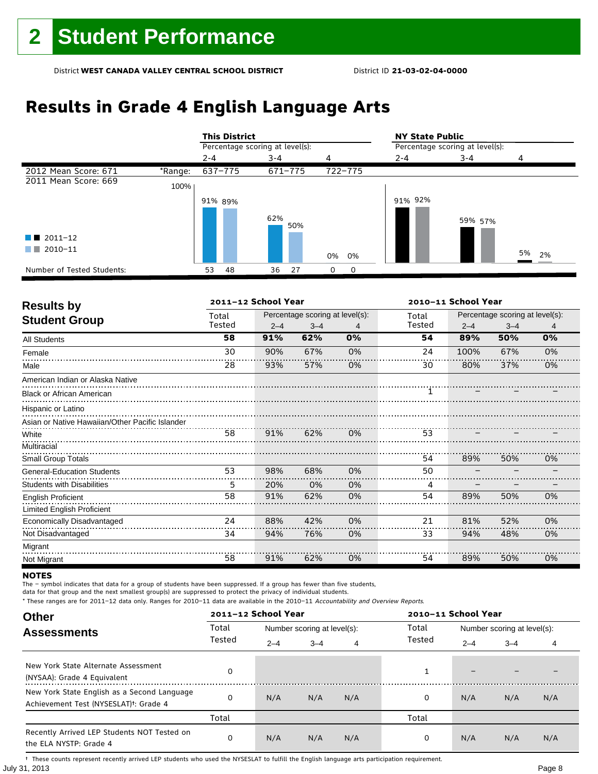## **Results in Grade 4 English Language Arts**

|                            |         | <b>This District</b> |                                 |                      |                                 | <b>NY State Public</b> |       |  |  |  |
|----------------------------|---------|----------------------|---------------------------------|----------------------|---------------------------------|------------------------|-------|--|--|--|
|                            |         |                      | Percentage scoring at level(s): |                      | Percentage scoring at level(s): |                        |       |  |  |  |
|                            |         | $2 - 4$              | $3 - 4$                         | 4                    | $2 - 4$                         | $3 - 4$                | 4     |  |  |  |
| 2012 Mean Score: 671       | *Range: | 637-775              | 671-775                         | 722-775              |                                 |                        |       |  |  |  |
| 2011 Mean Score: 669       | 100%    |                      |                                 |                      |                                 |                        |       |  |  |  |
|                            |         | 91% 89%              | 62%<br>50%                      |                      | 91% 92%                         | 59% 57%                |       |  |  |  |
| $\blacksquare$ 2011-12     |         |                      |                                 |                      |                                 |                        |       |  |  |  |
| 2010-11                    |         |                      |                                 | 0%<br>0%             |                                 |                        | 5% 2% |  |  |  |
| Number of Tested Students: |         | 53<br>48             | 27<br>36                        | $\Omega$<br>$\Omega$ |                                 |                        |       |  |  |  |

| <b>Results by</b>                               |        | 2011-12 School Year |                                 |    | 2010-11 School Year |                                 |         |    |  |
|-------------------------------------------------|--------|---------------------|---------------------------------|----|---------------------|---------------------------------|---------|----|--|
| <b>Student Group</b>                            | Total  |                     | Percentage scoring at level(s): |    | Total               | Percentage scoring at level(s): |         |    |  |
|                                                 | Tested | $2 - 4$             | $3 - 4$                         | 4  | Tested              | $2 - 4$                         | $3 - 4$ | 4  |  |
| <b>All Students</b>                             | 58     | 91%                 | 62%                             | 0% | 54                  | 89%                             | 50%     | 0% |  |
| Female                                          | 30     | 90%                 | 67%                             | 0% | 24                  | 100%                            | 67%     | 0% |  |
| Male                                            | 28     | 93%                 | 57%                             | 0% | 30                  | 80%                             | 37%     | 0% |  |
| American Indian or Alaska Native                |        |                     |                                 |    |                     |                                 |         |    |  |
| <b>Black or African American</b>                |        |                     |                                 |    |                     |                                 |         |    |  |
| Hispanic or Latino                              |        |                     |                                 |    |                     |                                 |         |    |  |
| Asian or Native Hawaiian/Other Pacific Islander |        |                     |                                 |    |                     |                                 |         |    |  |
| White                                           | 58     | 91%                 | 62%                             | 0% | 53                  |                                 |         |    |  |
| Multiracial                                     |        |                     |                                 |    |                     |                                 |         |    |  |
| <b>Small Group Totals</b>                       |        |                     |                                 |    | 54                  | 89%                             | 50%     | 0% |  |
| <b>General-Education Students</b>               | 53     | 98%                 | 68%                             | 0% | 50                  |                                 |         |    |  |
| <b>Students with Disabilities</b>               | 5      | 20%                 | 0%                              | 0% | 4                   |                                 |         |    |  |
| <b>English Proficient</b>                       | 58     | 91%                 | 62%                             | 0% | 54                  | 89%                             | 50%     | 0% |  |
| <b>Limited English Proficient</b>               |        |                     |                                 |    |                     |                                 |         |    |  |
| Economically Disadvantaged                      | 24     | 88%                 | 42%                             | 0% | 21                  | 81%                             | 52%     | 0% |  |
| Not Disadvantaged                               | 34     | 94%                 | 76%                             | 0% | 33                  | 94%                             | 48%     | 0% |  |
| Migrant                                         |        |                     |                                 |    |                     |                                 |         |    |  |
| Not Migrant                                     | 58     | 91%                 | 62%                             | 0% | 54                  | 89%                             | 50%     | 0% |  |

#### **NOTES**

The – symbol indicates that data for a group of students have been suppressed. If a group has fewer than five students,

data for that group and the next smallest group(s) are suppressed to protect the privacy of individual students.

\* These ranges are for 2011–12 data only. Ranges for 2010–11 data are available in the 2010–11 Accountability and Overview Reports.

| <b>Other</b>                                                                                      |        | 2011-12 School Year |                             |     | 2010-11 School Year |                             |         |     |  |
|---------------------------------------------------------------------------------------------------|--------|---------------------|-----------------------------|-----|---------------------|-----------------------------|---------|-----|--|
| <b>Assessments</b>                                                                                | Total  |                     | Number scoring at level(s): |     | Total<br>Tested     | Number scoring at level(s): |         |     |  |
|                                                                                                   | Tested | $2 - 4$             | $3 - 4$                     | 4   |                     | $2 - 4$                     | $3 - 4$ | 4   |  |
| New York State Alternate Assessment<br>(NYSAA): Grade 4 Equivalent                                |        |                     |                             |     | 1                   | -                           |         |     |  |
| New York State English as a Second Language<br>Achievement Test (NYSESLAT) <sup>+</sup> : Grade 4 | O      | N/A                 | N/A                         | N/A | 0                   | N/A                         | N/A     | N/A |  |
|                                                                                                   | Total  |                     |                             |     | Total               |                             |         |     |  |
| Recently Arrived LEP Students NOT Tested on<br>the ELA NYSTP: Grade 4                             | 0      | N/A                 | N/A                         | N/A | 0                   | N/A                         | N/A     | N/A |  |

July 31, 2013 Page 8 † These counts represent recently arrived LEP students who used the NYSESLAT to fulfill the English language arts participation requirement.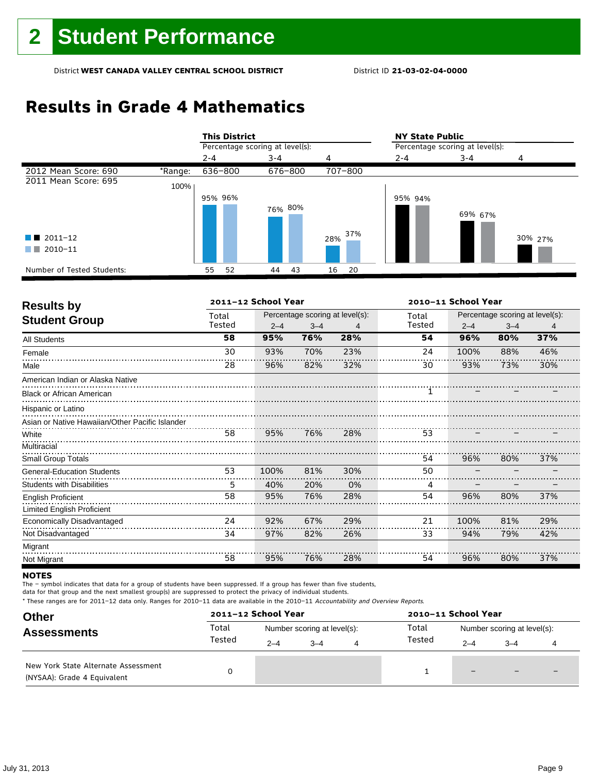## **Results in Grade 4 Mathematics**

|                            |         |         | <b>This District</b>            |         |         |     |         | <b>NY State Public</b>          |         |         |  |  |
|----------------------------|---------|---------|---------------------------------|---------|---------|-----|---------|---------------------------------|---------|---------|--|--|
|                            |         |         | Percentage scoring at level(s): |         |         |     |         | Percentage scoring at level(s): |         |         |  |  |
|                            |         | $2 - 4$ |                                 | $3 - 4$ |         | 4   |         | $2 - 4$                         | $3 - 4$ | 4       |  |  |
| 2012 Mean Score: 690       | *Range: | 636-800 |                                 |         | 676-800 |     | 707-800 |                                 |         |         |  |  |
| 2011 Mean Score: 695       | 100%    |         |                                 |         |         |     |         |                                 |         |         |  |  |
|                            |         | 95% 96% |                                 |         |         |     |         | 95% 94%                         |         |         |  |  |
|                            |         |         |                                 |         | 76% 80% |     |         |                                 | 69% 67% |         |  |  |
|                            |         |         |                                 |         |         |     |         |                                 |         |         |  |  |
| $\blacksquare$ 2011-12     |         |         |                                 |         |         | 28% | 37%     |                                 |         | 30% 27% |  |  |
| 2010-11<br>a ka            |         |         |                                 |         |         |     |         |                                 |         |         |  |  |
|                            |         |         |                                 |         |         |     |         |                                 |         |         |  |  |
| Number of Tested Students: |         | 55      | 52                              | 44      | 43      | 16  | 20      |                                 |         |         |  |  |

| <b>Results by</b>                               |        | 2011-12 School Year |         |                                 | 2010-11 School Year |                                 |         |     |
|-------------------------------------------------|--------|---------------------|---------|---------------------------------|---------------------|---------------------------------|---------|-----|
|                                                 | Total  |                     |         | Percentage scoring at level(s): | Total               | Percentage scoring at level(s): |         |     |
| <b>Student Group</b>                            | Tested | $2 - 4$             | $3 - 4$ | 4                               | Tested              | $2 - 4$                         | $3 - 4$ | 4   |
| <b>All Students</b>                             | 58     | 95%                 | 76%     | 28%                             | 54                  | 96%                             | 80%     | 37% |
| Female                                          | 30     | 93%                 | 70%     | 23%                             | 24                  | 100%                            | 88%     | 46% |
| Male                                            | 28     | 96%                 | 82%     | 32%                             | 30                  | 93%                             | 73%     | 30% |
| American Indian or Alaska Native                |        |                     |         |                                 |                     |                                 |         |     |
| <b>Black or African American</b>                |        |                     |         |                                 |                     |                                 |         |     |
| Hispanic or Latino                              |        |                     |         |                                 |                     |                                 |         |     |
| Asian or Native Hawaiian/Other Pacific Islander |        |                     |         |                                 |                     |                                 |         |     |
| White                                           | 58     | 95%                 | 76%     | 28%                             | 53                  |                                 |         |     |
| Multiracial                                     |        |                     |         |                                 |                     |                                 |         |     |
| <b>Small Group Totals</b>                       |        |                     |         |                                 | 54                  | 96%                             | 80%     | 37% |
| <b>General-Education Students</b>               | 53     | 100%                | 81%     | 30%                             | 50                  |                                 |         |     |
| <b>Students with Disabilities</b>               | 5      | 40%                 | 20%     | 0%                              | 4                   |                                 |         |     |
| <b>English Proficient</b>                       | 58     | 95%                 | 76%     | 28%                             | 54                  | 96%                             | 80%     | 37% |
| <b>Limited English Proficient</b>               |        |                     |         |                                 |                     |                                 |         |     |
| Economically Disadvantaged                      | 24     | 92%                 | 67%     | 29%                             | 21                  | 100%                            | 81%     | 29% |
| Not Disadvantaged                               | 34     | 97%                 | 82%     | 26%                             | 33                  | 94%                             | 79%     | 42% |
| Migrant                                         |        |                     |         |                                 |                     |                                 |         |     |
| Not Migrant                                     | 58     | 95%                 | 76%     | 28%                             | 54                  | 96%                             | 80%     | 37% |

#### **NOTES**

The – symbol indicates that data for a group of students have been suppressed. If a group has fewer than five students,

data for that group and the next smallest group(s) are suppressed to protect the privacy of individual students.

| <b>Other</b>                                                       |                 | 2011-12 School Year |                             |   | 2010-11 School Year |                             |                          |  |  |
|--------------------------------------------------------------------|-----------------|---------------------|-----------------------------|---|---------------------|-----------------------------|--------------------------|--|--|
| <b>Assessments</b>                                                 | Total<br>Tested |                     | Number scoring at level(s): |   | Total<br>Tested     | Number scoring at level(s): |                          |  |  |
|                                                                    |                 | $2 - 4$             | $3 - 4$                     | 4 |                     | $2 - 4$                     | $3 - 4$                  |  |  |
| New York State Alternate Assessment<br>(NYSAA): Grade 4 Equivalent |                 |                     |                             |   |                     | $\qquad \qquad -$           | $\overline{\phantom{0}}$ |  |  |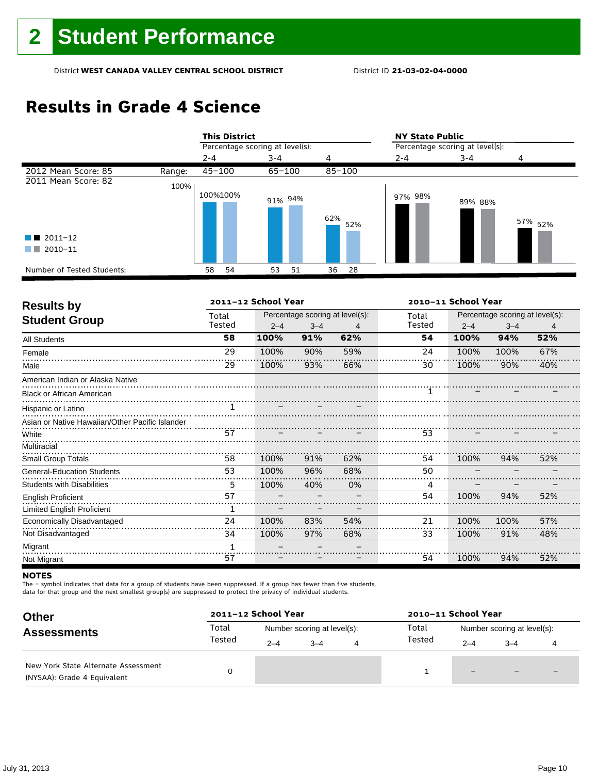## **Results in Grade 4 Science**

|                            |        | <b>This District</b>            |            |            | <b>NY State Public</b>          |         |                    |  |  |
|----------------------------|--------|---------------------------------|------------|------------|---------------------------------|---------|--------------------|--|--|
|                            |        | Percentage scoring at level(s): |            |            | Percentage scoring at level(s): |         |                    |  |  |
|                            |        | $2 - 4$                         | $3 - 4$    | 4          | $2 - 4$                         | $3 - 4$ | 4                  |  |  |
| 2012 Mean Score: 85        | Range: | $45 - 100$                      | $65 - 100$ | $85 - 100$ |                                 |         |                    |  |  |
| 2011 Mean Score: 82        | 100%   | 100%100%                        | 91% 94%    | 62%<br>52% | 97% 98%                         | 89% 88% | 57% <sub>52%</sub> |  |  |
| $\blacksquare$ 2011-12     |        |                                 |            |            |                                 |         |                    |  |  |
| 2010-11<br>a ka            |        |                                 |            |            |                                 |         |                    |  |  |
| Number of Tested Students: |        | 58<br>54                        | 51<br>53   | 28<br>36   |                                 |         |                    |  |  |

| <b>Results by</b>                               |        | 2011-12 School Year |         |                                 | 2010-11 School Year |                                 |         |     |  |
|-------------------------------------------------|--------|---------------------|---------|---------------------------------|---------------------|---------------------------------|---------|-----|--|
|                                                 | Total  |                     |         | Percentage scoring at level(s): | Total               | Percentage scoring at level(s): |         |     |  |
| <b>Student Group</b>                            | Tested | $2 - 4$             | $3 - 4$ | 4                               | Tested              | $2 - 4$                         | $3 - 4$ | 4   |  |
| <b>All Students</b>                             | 58     | 100%                | 91%     | 62%                             | 54                  | 100%                            | 94%     | 52% |  |
| Female                                          | 29     | 100%                | 90%     | 59%                             | 24                  | 100%                            | 100%    | 67% |  |
| Male                                            | 29     | 100%                | 93%     | 66%                             | 30                  | 100%                            | 90%     | 40% |  |
| American Indian or Alaska Native                |        |                     |         |                                 |                     |                                 |         |     |  |
| <b>Black or African American</b>                |        |                     |         |                                 | 1                   |                                 |         |     |  |
| Hispanic or Latino                              |        |                     |         |                                 |                     |                                 |         |     |  |
| Asian or Native Hawaiian/Other Pacific Islander |        |                     |         |                                 |                     |                                 |         |     |  |
| White                                           |        |                     |         |                                 | 53                  |                                 |         |     |  |
| Multiracial                                     |        |                     |         |                                 |                     |                                 |         |     |  |
| <b>Small Group Totals</b>                       | 58     | 100%                | 91%     | 62%                             | 54                  | 100%                            | 94%     | 52% |  |
| <b>General-Education Students</b>               | 53     | 100%                | 96%     | 68%                             | 50                  |                                 |         |     |  |
| <b>Students with Disabilities</b>               | 5      | 100%                | 40%     | 0%                              | 4                   |                                 |         |     |  |
| <b>English Proficient</b>                       | 57     |                     |         |                                 | 54                  | 100%                            | 94%     | 52% |  |
| <b>Limited English Proficient</b>               | 1      |                     |         |                                 |                     |                                 |         |     |  |
| Economically Disadvantaged                      | 24     | 100%                | 83%     | 54%                             | 21                  | 100%                            | 100%    | 57% |  |
| Not Disadvantaged                               | 34     | 100%                | 97%     | 68%                             | 33                  | 100%                            | 91%     | 48% |  |
| Migrant                                         |        |                     |         |                                 |                     |                                 |         |     |  |
| Not Migrant                                     | 57     |                     |         |                                 | 54                  | 100%                            | 94%     | 52% |  |

#### **NOTES**

The – symbol indicates that data for a group of students have been suppressed. If a group has fewer than five students,

data for that group and the next smallest group(s) are suppressed to protect the privacy of individual students.

| <b>Other</b>                                                       |                 | 2011-12 School Year |                             |   | 2010-11 School Year |                             |         |  |  |
|--------------------------------------------------------------------|-----------------|---------------------|-----------------------------|---|---------------------|-----------------------------|---------|--|--|
| <b>Assessments</b>                                                 | Total<br>Tested |                     | Number scoring at level(s): |   | Total<br>Tested     | Number scoring at level(s): |         |  |  |
|                                                                    |                 | $2 - 4$             | $3 - 4$                     | 4 |                     | $2 - 4$                     | $3 - 4$ |  |  |
| New York State Alternate Assessment<br>(NYSAA): Grade 4 Equivalent |                 |                     |                             |   |                     | $\overline{\phantom{m}}$    |         |  |  |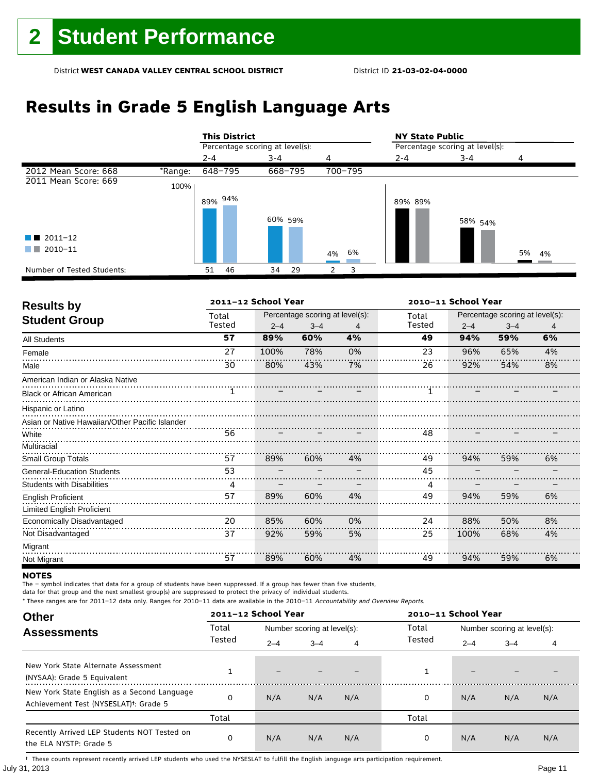## **Results in Grade 5 English Language Arts**

|                            |         |                                 | <b>This District</b> |         |         |   |         |         | <b>NY State Public</b>          |       |  |  |  |
|----------------------------|---------|---------------------------------|----------------------|---------|---------|---|---------|---------|---------------------------------|-------|--|--|--|
|                            |         | Percentage scoring at level(s): |                      |         |         |   |         |         | Percentage scoring at level(s): |       |  |  |  |
|                            |         | $2 - 4$                         |                      | $3 - 4$ |         | 4 |         | $2 - 4$ | $3 - 4$                         | 4     |  |  |  |
| 2012 Mean Score: 668       | *Range: |                                 | 648-795              |         | 668-795 |   | 700-795 |         |                                 |       |  |  |  |
| 2011 Mean Score: 669       | 100%    |                                 |                      |         |         |   |         |         |                                 |       |  |  |  |
|                            |         |                                 | 89% 94%              | 60% 59% |         |   |         | 89% 89% | 58% <sub>54%</sub>              |       |  |  |  |
| $\blacksquare$ 2011-12     |         |                                 |                      |         |         |   |         |         |                                 |       |  |  |  |
| 2010-11<br>a sa Tan        |         |                                 |                      |         |         |   | 4% 6%   |         |                                 | 5% 4% |  |  |  |
| Number of Tested Students: |         | 51                              | 46                   | 34      | 29      | 2 | 3       |         |                                 |       |  |  |  |

| <b>Results by</b>                               |        | 2011-12 School Year |                                 |    | 2010-11 School Year |                                 |         |    |  |
|-------------------------------------------------|--------|---------------------|---------------------------------|----|---------------------|---------------------------------|---------|----|--|
| <b>Student Group</b>                            | Total  |                     | Percentage scoring at level(s): |    | Total               | Percentage scoring at level(s): |         |    |  |
|                                                 | Tested | $2 - 4$             | $3 - 4$                         | 4  | Tested              | $2 - 4$                         | $3 - 4$ | 4  |  |
| All Students                                    | 57     | 89%                 | 60%                             | 4% | 49                  | 94%                             | 59%     | 6% |  |
| Female                                          | 27     | 100%                | 78%                             | 0% | 23                  | 96%                             | 65%     | 4% |  |
| Male                                            | 30     | 80%                 | 43%                             | 7% | 26                  | 92%                             | 54%     | 8% |  |
| American Indian or Alaska Native                |        |                     |                                 |    |                     |                                 |         |    |  |
| <b>Black or African American</b>                | 1      |                     |                                 |    |                     |                                 |         |    |  |
| Hispanic or Latino                              |        |                     |                                 |    |                     |                                 |         |    |  |
| Asian or Native Hawaiian/Other Pacific Islander |        |                     |                                 |    |                     |                                 |         |    |  |
| White                                           | 56     |                     |                                 |    | 48                  |                                 |         |    |  |
| Multiracial                                     |        |                     |                                 |    |                     |                                 |         |    |  |
| Small Group Totals                              | 57     | 89%                 | 60%                             | 4% | 49                  | 94%                             | 59%     | 6% |  |
| <b>General-Education Students</b>               | 53     |                     |                                 |    | 45                  |                                 |         |    |  |
| <b>Students with Disabilities</b>               | 4      |                     |                                 |    | 4                   |                                 |         |    |  |
| <b>English Proficient</b>                       | 57     | 89%                 | 60%                             | 4% | 49                  | 94%                             | 59%     | 6% |  |
| Limited English Proficient                      |        |                     |                                 |    |                     |                                 |         |    |  |
| Economically Disadvantaged                      | 20     | 85%                 | 60%                             | 0% | 24                  | 88%                             | 50%     | 8% |  |
| Not Disadvantaged                               | 37     | 92%                 | 59%                             | 5% | 25                  | 100%                            | 68%     | 4% |  |
| Migrant                                         |        |                     |                                 |    |                     |                                 |         |    |  |
| Not Migrant                                     | 57     | 89%                 | 60%                             | 4% | 49                  | 94%                             | 59%     | 6% |  |

#### **NOTES**

The – symbol indicates that data for a group of students have been suppressed. If a group has fewer than five students,

data for that group and the next smallest group(s) are suppressed to protect the privacy of individual students.

\* These ranges are for 2011–12 data only. Ranges for 2010–11 data are available in the 2010–11 Accountability and Overview Reports.

| <b>Other</b>                                                                                      |        | 2011-12 School Year |                             |     | 2010-11 School Year |                             |         |     |  |
|---------------------------------------------------------------------------------------------------|--------|---------------------|-----------------------------|-----|---------------------|-----------------------------|---------|-----|--|
| <b>Assessments</b>                                                                                | Total  |                     | Number scoring at level(s): |     | Total               | Number scoring at level(s): |         |     |  |
|                                                                                                   | Tested | $2 - 4$             | $3 - 4$                     | 4   | Tested              | $2 - 4$                     | $3 - 4$ | 4   |  |
| New York State Alternate Assessment<br>(NYSAA): Grade 5 Equivalent                                |        | -                   |                             |     |                     | -                           |         |     |  |
| New York State English as a Second Language<br>Achievement Test (NYSESLAT) <sup>+</sup> : Grade 5 |        | N/A                 | N/A                         | N/A | 0                   | N/A                         | N/A     | N/A |  |
|                                                                                                   | Total  |                     |                             |     | Total               |                             |         |     |  |
| Recently Arrived LEP Students NOT Tested on<br>the ELA NYSTP: Grade 5                             | 0      | N/A                 | N/A                         | N/A | 0                   | N/A                         | N/A     | N/A |  |

July 31, 2013 Page 11 † These counts represent recently arrived LEP students who used the NYSESLAT to fulfill the English language arts participation requirement.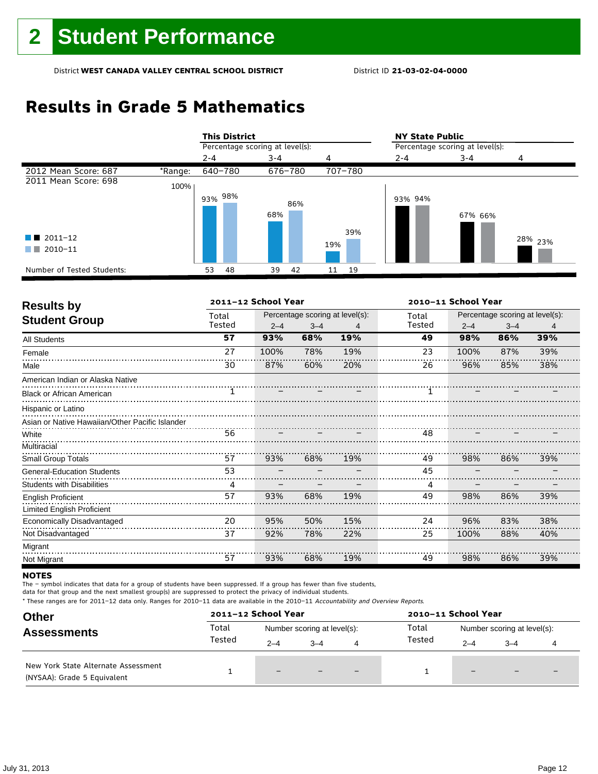## **Results in Grade 5 Mathematics**

|                                              |         | <b>This District</b> |                                 |         |     |         |     | <b>NY State Public</b>          |         |                    |  |  |
|----------------------------------------------|---------|----------------------|---------------------------------|---------|-----|---------|-----|---------------------------------|---------|--------------------|--|--|
|                                              |         |                      | Percentage scoring at level(s): |         |     |         |     | Percentage scoring at level(s): |         |                    |  |  |
|                                              |         | $2 - 4$              |                                 | $3 - 4$ |     | 4       |     | $2 - 4$                         | $3 - 4$ | 4                  |  |  |
| 2012 Mean Score: 687                         | *Range: | 640-780              |                                 | 676-780 |     | 707-780 |     |                                 |         |                    |  |  |
| 2011 Mean Score: 698                         | 100%    |                      |                                 |         |     |         |     |                                 |         |                    |  |  |
| $\blacksquare$ 2011-12<br>2010-11<br>and the |         | $93\%$ 98%           |                                 | 68%     | 86% | 19%     | 39% | 93% 94%                         | 67% 66% | <sup>28%</sup> 23% |  |  |
| Number of Tested Students:                   |         | 53                   | 48                              | 39      | 42  | 11      | 19  |                                 |         |                    |  |  |

| <b>Results by</b>                               |        | 2011-12 School Year |         |                                 |        | 2010-11 School Year |                                 |     |
|-------------------------------------------------|--------|---------------------|---------|---------------------------------|--------|---------------------|---------------------------------|-----|
|                                                 | Total  |                     |         | Percentage scoring at level(s): | Total  |                     | Percentage scoring at level(s): |     |
| <b>Student Group</b>                            | Tested | $2 - 4$             | $3 - 4$ | 4                               | Tested | $2 - 4$             | $3 - 4$                         | 4   |
| <b>All Students</b>                             | 57     | 93%                 | 68%     | 19%                             | 49     | 98%                 | 86%                             | 39% |
| Female                                          | 27     | 100%                | 78%     | 19%                             | 23     | 100%                | 87%                             | 39% |
| Male                                            | 30     | 87%                 | 60%     | 20%                             | 26     | 96%                 | 85%                             | 38% |
| American Indian or Alaska Native                |        |                     |         |                                 |        |                     |                                 |     |
| <b>Black or African American</b>                |        |                     |         |                                 |        |                     |                                 |     |
| Hispanic or Latino                              |        |                     |         |                                 |        |                     |                                 |     |
| Asian or Native Hawaiian/Other Pacific Islander |        |                     |         |                                 |        |                     |                                 |     |
| White                                           |        | $\frac{1}{56}$      |         |                                 | 48     |                     |                                 |     |
| Multiracial                                     |        |                     |         |                                 |        |                     |                                 |     |
| <b>Small Group Totals</b>                       | 57     | 93%                 | 68%     | 19%                             | 49     | 98%                 | 86%                             | 39% |
| <b>General-Education Students</b>               | 53     |                     |         |                                 | 45     |                     |                                 |     |
| <b>Students with Disabilities</b>               | 4      |                     |         |                                 | 4      |                     |                                 |     |
| <b>English Proficient</b>                       | 57     | 93%                 | 68%     | 19%                             | 49     | 98%                 | 86%                             | 39% |
| <b>Limited English Proficient</b>               |        |                     |         |                                 |        |                     |                                 |     |
| Economically Disadvantaged                      | 20     | 95%                 | 50%     | 15%                             | 24     | 96%                 | 83%                             | 38% |
| Not Disadvantaged                               | 37     | 92%                 | 78%     | 22%                             | 25     | 100%                | 88%                             | 40% |
| Migrant                                         |        |                     |         |                                 |        |                     |                                 |     |
| Not Migrant                                     | 57     | 93%                 | 68%     | 19%                             | 49     | 98%                 | 86%                             | 39% |

#### **NOTES**

The – symbol indicates that data for a group of students have been suppressed. If a group has fewer than five students,

data for that group and the next smallest group(s) are suppressed to protect the privacy of individual students.

|                                                                                                          | 2011-12 School Year |         |                             |     | 2010-11 School Year |                             |                          |  |  |
|----------------------------------------------------------------------------------------------------------|---------------------|---------|-----------------------------|-----|---------------------|-----------------------------|--------------------------|--|--|
| <b>Other</b><br><b>Assessments</b><br>New York State Alternate Assessment<br>(NYSAA): Grade 5 Equivalent | Total               |         | Number scoring at level(s): |     | Total               | Number scoring at level(s): |                          |  |  |
|                                                                                                          | Tested              | $2 - 4$ | $3 - 4$                     | 4   | Tested              | $2 - 4$                     | $3 - 4$                  |  |  |
|                                                                                                          |                     | $-$     |                             | $-$ |                     | $\overline{\phantom{m}}$    | $\overline{\phantom{0}}$ |  |  |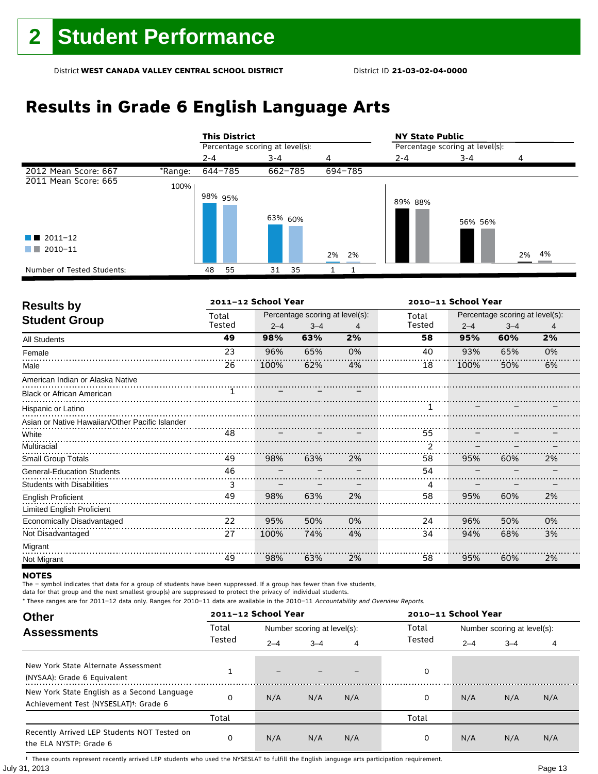## **Results in Grade 6 English Language Arts**

|                            |         |         | <b>This District</b>            |         |    |       |         | <b>NY State Public</b>          |         |       |  |  |
|----------------------------|---------|---------|---------------------------------|---------|----|-------|---------|---------------------------------|---------|-------|--|--|
|                            |         |         | Percentage scoring at level(s): |         |    |       |         | Percentage scoring at level(s): |         |       |  |  |
|                            |         | $2 - 4$ |                                 | $3 - 4$ |    | 4     |         | $2 - 4$                         | $3 - 4$ | 4     |  |  |
| 2012 Mean Score: 667       | *Range: |         | 644-785                         | 662-785 |    |       | 694-785 |                                 |         |       |  |  |
| 2011 Mean Score: 665       | 100%    |         |                                 |         |    |       |         |                                 |         |       |  |  |
|                            |         | 98% 95% |                                 | 63% 60% |    |       |         | 89% 88%                         | 56% 56% |       |  |  |
| $\blacksquare$ 2011-12     |         |         |                                 |         |    |       |         |                                 |         |       |  |  |
| 2010-11<br>a ka            |         |         |                                 |         |    | 2% 2% |         |                                 |         | 2% 4% |  |  |
| Number of Tested Students: |         | 48      | 55                              | 31      | 35 |       |         |                                 |         |       |  |  |

| <b>Results by</b>                               |        | 2011-12 School Year |                                 |    | 2010-11 School Year |         |                                 |    |  |
|-------------------------------------------------|--------|---------------------|---------------------------------|----|---------------------|---------|---------------------------------|----|--|
| <b>Student Group</b>                            | Total  |                     | Percentage scoring at level(s): |    | Total               |         | Percentage scoring at level(s): |    |  |
|                                                 | Tested | $2 - 4$             | $3 - 4$                         | 4  | Tested              | $2 - 4$ | $3 - 4$                         | 4  |  |
| All Students                                    | 49     | 98%                 | 63%                             | 2% | 58                  | 95%     | 60%                             | 2% |  |
| Female                                          | 23     | 96%                 | 65%                             | 0% | 40                  | 93%     | 65%                             | 0% |  |
| Male                                            | 26     | 100%                | 62%                             | 4% | 18                  | 100%    | 50%                             | 6% |  |
| American Indian or Alaska Native                |        |                     |                                 |    |                     |         |                                 |    |  |
| <b>Black or African American</b>                |        |                     |                                 |    |                     |         |                                 |    |  |
| Hispanic or Latino                              |        |                     |                                 |    |                     |         |                                 |    |  |
| Asian or Native Hawaiian/Other Pacific Islander |        |                     |                                 |    |                     |         |                                 |    |  |
| White                                           |        | $\frac{1}{48}$      |                                 |    | 55                  |         |                                 |    |  |
| Multiracial                                     |        |                     |                                 |    |                     |         |                                 |    |  |
| <b>Small Group Totals</b>                       | 49     | 98%                 | 63%                             | 2% | 58                  | 95%     | 60%                             | 2% |  |
| <b>General-Education Students</b>               | 46     |                     |                                 |    | 54                  |         |                                 |    |  |
| <b>Students with Disabilities</b>               | 3      |                     |                                 |    | 4                   |         |                                 |    |  |
| <b>English Proficient</b>                       | 49     | 98%                 | 63%                             | 2% | 58                  | 95%     | 60%                             | 2% |  |
| Limited English Proficient                      |        |                     |                                 |    |                     |         |                                 |    |  |
| Economically Disadvantaged                      | 22     | 95%                 | 50%                             | 0% | 24                  | 96%     | 50%                             | 0% |  |
| Not Disadvantaged                               | 27     | 100%                | 74%                             | 4% | 34                  | 94%     | 68%                             | 3% |  |
| Migrant                                         |        |                     |                                 |    |                     |         |                                 |    |  |
| Not Migrant                                     | 49     | 98%                 | 63%                             | 2% | 58                  | 95%     | 60%                             | 2% |  |

#### **NOTES**

The – symbol indicates that data for a group of students have been suppressed. If a group has fewer than five students,

data for that group and the next smallest group(s) are suppressed to protect the privacy of individual students.

\* These ranges are for 2011–12 data only. Ranges for 2010–11 data are available in the 2010–11 Accountability and Overview Reports.

| <b>Other</b>                                                                                      |        | 2011-12 School Year      |                             |     | 2010-11 School Year |                             |         |     |  |
|---------------------------------------------------------------------------------------------------|--------|--------------------------|-----------------------------|-----|---------------------|-----------------------------|---------|-----|--|
| <b>Assessments</b>                                                                                | Total  |                          | Number scoring at level(s): |     | Total               | Number scoring at level(s): |         |     |  |
|                                                                                                   | Tested | $2 - 4$                  | $3 - 4$                     | 4   | Tested              | $2 - 4$                     | $3 - 4$ | 4   |  |
| New York State Alternate Assessment<br>(NYSAA): Grade 6 Equivalent                                |        | $\overline{\phantom{0}}$ |                             |     | 0                   |                             |         |     |  |
| New York State English as a Second Language<br>Achievement Test (NYSESLAT) <sup>†</sup> : Grade 6 |        | N/A                      | N/A                         | N/A | 0                   | N/A                         | N/A     | N/A |  |
|                                                                                                   | Total  |                          |                             |     | Total               |                             |         |     |  |
| Recently Arrived LEP Students NOT Tested on<br>the ELA NYSTP: Grade 6                             |        | N/A                      | N/A                         | N/A | 0                   | N/A                         | N/A     | N/A |  |

July 31, 2013 Page 13 † These counts represent recently arrived LEP students who used the NYSESLAT to fulfill the English language arts participation requirement.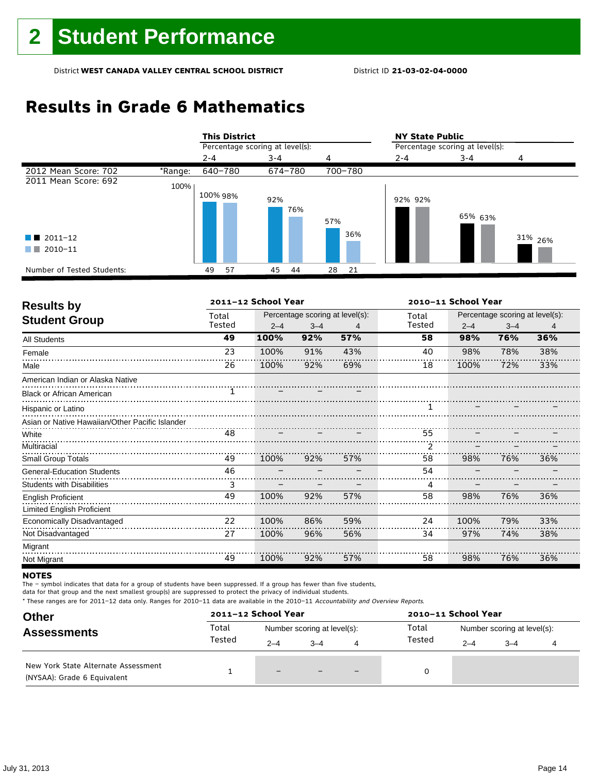## **Results in Grade 6 Mathematics**

|                            |         | <b>This District</b>            |            |            | <b>NY State Public</b>          |         |                    |  |  |
|----------------------------|---------|---------------------------------|------------|------------|---------------------------------|---------|--------------------|--|--|
|                            |         | Percentage scoring at level(s): |            |            | Percentage scoring at level(s): |         |                    |  |  |
|                            |         | $2 - 4$                         | $3 - 4$    | 4          | 2-4                             | $3 - 4$ |                    |  |  |
| 2012 Mean Score: 702       | *Range: | 640-780                         | 674-780    | 700-780    |                                 |         |                    |  |  |
| 2011 Mean Score: 692       | 100%    |                                 |            |            |                                 |         |                    |  |  |
| $\blacksquare$ 2011-12     |         | 100% 98%                        | 92%<br>76% | 57%<br>36% | 92% 92%                         | 65% 63% | 31% <sub>26%</sub> |  |  |
| 2010-11<br>a sa T          |         |                                 |            |            |                                 |         |                    |  |  |
| Number of Tested Students: |         | 57<br>49                        | 45<br>44   | 28<br>21   |                                 |         |                    |  |  |

| <b>Results by</b>                               |        | 2011-12 School Year                                                                                                                                                                                                                                                                                         |                                 |     |                | 2010-11 School Year |                                 |     |
|-------------------------------------------------|--------|-------------------------------------------------------------------------------------------------------------------------------------------------------------------------------------------------------------------------------------------------------------------------------------------------------------|---------------------------------|-----|----------------|---------------------|---------------------------------|-----|
|                                                 | Total  |                                                                                                                                                                                                                                                                                                             | Percentage scoring at level(s): |     | Total          |                     | Percentage scoring at level(s): |     |
| <b>Student Group</b>                            | Tested | $2 - 4$                                                                                                                                                                                                                                                                                                     | $3 - 4$                         | 4   | Tested         | $2 - 4$             | $3 - 4$                         | 4   |
| <b>All Students</b>                             | 49     | 100%                                                                                                                                                                                                                                                                                                        | 92%                             | 57% | 58             | 98%                 | 76%                             | 36% |
| Female                                          | 23     | 100%                                                                                                                                                                                                                                                                                                        | 91%                             | 43% | 40             | 98%                 | 78%                             | 38% |
| Male                                            | 26     | 100%                                                                                                                                                                                                                                                                                                        | 92%                             | 69% | 18             | 100%                | 72%                             | 33% |
| American Indian or Alaska Native                |        |                                                                                                                                                                                                                                                                                                             |                                 |     |                |                     |                                 |     |
| <b>Black or African American</b>                | 1      |                                                                                                                                                                                                                                                                                                             |                                 |     |                |                     |                                 |     |
| Hispanic or Latino                              |        |                                                                                                                                                                                                                                                                                                             |                                 |     | 1              |                     |                                 |     |
| Asian or Native Hawaiian/Other Pacific Islander |        |                                                                                                                                                                                                                                                                                                             |                                 |     |                |                     |                                 |     |
| White                                           |        | $\frac{1}{48}$ $\frac{1}{48}$ $\frac{1}{48}$ $\frac{1}{48}$ $\frac{1}{48}$ $\frac{1}{48}$ $\frac{1}{48}$ $\frac{1}{48}$ $\frac{1}{48}$ $\frac{1}{48}$ $\frac{1}{48}$ $\frac{1}{48}$ $\frac{1}{48}$ $\frac{1}{48}$ $\frac{1}{48}$ $\frac{1}{48}$ $\frac{1}{48}$ $\frac{1}{48}$ $\frac{1}{48}$ $\frac{1}{48}$ |                                 |     | 55             |                     |                                 |     |
| Multiracial                                     |        |                                                                                                                                                                                                                                                                                                             |                                 |     | $\overline{2}$ |                     |                                 |     |
| <b>Small Group Totals</b>                       | 49     | 100%                                                                                                                                                                                                                                                                                                        | 92%                             | 57% | 58             | 98%                 | 76%                             | 36% |
| <b>General-Education Students</b>               | 46     |                                                                                                                                                                                                                                                                                                             |                                 |     | 54             |                     |                                 |     |
| <b>Students with Disabilities</b>               | 3      |                                                                                                                                                                                                                                                                                                             |                                 |     | 4              |                     |                                 |     |
| <b>English Proficient</b>                       | 49     | 100%                                                                                                                                                                                                                                                                                                        | 92%                             | 57% | 58             | 98%                 | 76%                             | 36% |
| Limited English Proficient                      |        |                                                                                                                                                                                                                                                                                                             |                                 |     |                |                     |                                 |     |
| Economically Disadvantaged                      | 22     | 100%                                                                                                                                                                                                                                                                                                        | 86%                             | 59% | 24             | 100%                | 79%                             | 33% |
| Not Disadvantaged                               | 27     | 100%                                                                                                                                                                                                                                                                                                        | 96%                             | 56% | 34             | 97%                 | 74%                             | 38% |
| Migrant                                         |        |                                                                                                                                                                                                                                                                                                             |                                 |     |                |                     |                                 |     |
| Not Migrant                                     | 49     | 100%                                                                                                                                                                                                                                                                                                        | 92%                             | 57% | 58             | 98%                 | 76%                             | 36% |

#### **NOTES**

The – symbol indicates that data for a group of students have been suppressed. If a group has fewer than five students,

data for that group and the next smallest group(s) are suppressed to protect the privacy of individual students.

| <b>Other</b>                                                       |        | 2011-12 School Year |                             |   | 2010-11 School Year |                             |         |  |  |
|--------------------------------------------------------------------|--------|---------------------|-----------------------------|---|---------------------|-----------------------------|---------|--|--|
| <b>Assessments</b>                                                 | Total  |                     | Number scoring at level(s): |   | Total               | Number scoring at level(s): |         |  |  |
|                                                                    | Tested | $2 - 4$             | $3 - 4$                     | 4 | Tested              | $2 - 4$                     | $3 - 4$ |  |  |
| New York State Alternate Assessment<br>(NYSAA): Grade 6 Equivalent |        | -                   |                             |   | 0                   |                             |         |  |  |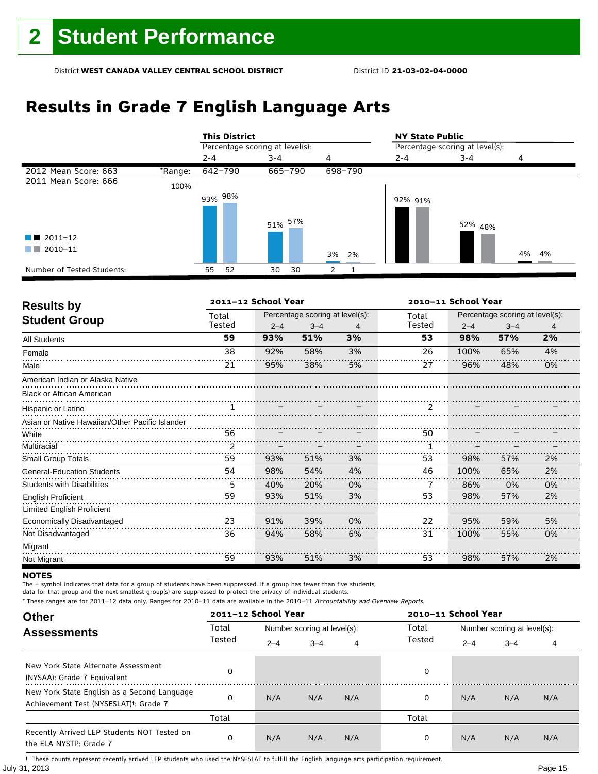## **Results in Grade 7 English Language Arts**

|                            |         |            | <b>This District</b>            |     |         |       |         | <b>NY State Public</b>          |         |       |
|----------------------------|---------|------------|---------------------------------|-----|---------|-------|---------|---------------------------------|---------|-------|
|                            |         |            | Percentage scoring at level(s): |     |         |       |         | Percentage scoring at level(s): |         |       |
|                            |         | $2 - 4$    |                                 | 3-4 |         | 4     |         | $2 - 4$                         | 3-4     | 4     |
| 2012 Mean Score: 663       | *Range: | 642-790    |                                 |     | 665-790 |       | 698-790 |                                 |         |       |
| 2011 Mean Score: 666       | 100%    |            |                                 |     |         |       |         |                                 |         |       |
|                            |         | $93\%$ 98% |                                 |     |         |       |         | 92% 91%                         |         |       |
|                            |         |            |                                 |     | 51% 57% |       |         |                                 | 52% 48% |       |
| $\blacksquare$ 2011-12     |         |            |                                 |     |         |       |         |                                 |         |       |
| 2010-11                    |         |            |                                 |     |         | 3% 2% |         |                                 |         | 4% 4% |
| Number of Tested Students: |         | 55         | 52                              | 30  | 30      |       |         |                                 |         |       |

| <b>Results by</b>                               |        | 2011-12 School Year |                                 |    |               | 2010-11 School Year |                                 |    |
|-------------------------------------------------|--------|---------------------|---------------------------------|----|---------------|---------------------|---------------------------------|----|
| <b>Student Group</b>                            | Total  |                     | Percentage scoring at level(s): |    | Total         |                     | Percentage scoring at level(s): |    |
|                                                 | Tested | $2 - 4$             | $3 - 4$                         | 4  | Tested        | $2 - 4$             | $3 - 4$                         | 4  |
| <b>All Students</b>                             | 59     | 93%                 | 51%                             | 3% | 53            | 98%                 | 57%                             | 2% |
| Female                                          | 38     | 92%                 | 58%                             | 3% | 26            | 100%                | 65%                             | 4% |
| Male                                            | 21     | 95%                 | 38%                             | 5% | 27            | 96%                 | 48%                             | 0% |
| American Indian or Alaska Native                |        |                     |                                 |    |               |                     |                                 |    |
| <b>Black or African American</b>                |        |                     |                                 |    |               |                     |                                 |    |
| Hispanic or Latino                              |        |                     |                                 |    | $\mathcal{P}$ |                     |                                 |    |
| Asian or Native Hawaiian/Other Pacific Islander |        |                     |                                 |    |               |                     |                                 |    |
| White                                           | 56     |                     |                                 |    | 50            |                     |                                 |    |
| Multiracial                                     | 2      |                     |                                 |    |               |                     |                                 |    |
| <b>Small Group Totals</b>                       | 59     | 93%                 | 51%                             | 3% | 53            | 98%                 | 57%                             | 2% |
| <b>General-Education Students</b>               | 54     | 98%                 | 54%                             | 4% | 46            | 100%                | 65%                             | 2% |
| <b>Students with Disabilities</b>               | 5      | 40%                 | 20%                             | 0% | 7             | 86%                 | 0%                              | 0% |
| <b>English Proficient</b>                       | 59     | 93%                 | 51%                             | 3% | 53            | 98%                 | 57%                             | 2% |
| <b>Limited English Proficient</b>               |        |                     |                                 |    |               |                     |                                 |    |
| Economically Disadvantaged                      | 23     | 91%                 | 39%                             | 0% | 22            | 95%                 | 59%                             | 5% |
| Not Disadvantaged                               | 36     | 94%                 | 58%                             | 6% | 31            | 100%                | 55%                             | 0% |
| Migrant                                         |        |                     |                                 |    |               |                     |                                 |    |
| Not Migrant                                     | 59     | 93%                 | 51%                             | 3% | 53            | 98%                 | 57%                             | 2% |

#### **NOTES**

The – symbol indicates that data for a group of students have been suppressed. If a group has fewer than five students,

data for that group and the next smallest group(s) are suppressed to protect the privacy of individual students.

\* These ranges are for 2011–12 data only. Ranges for 2010–11 data are available in the 2010–11 Accountability and Overview Reports.

| <b>Other</b>                                                                                      |        | 2011-12 School Year |                             |     | 2010-11 School Year |                             |         |     |  |
|---------------------------------------------------------------------------------------------------|--------|---------------------|-----------------------------|-----|---------------------|-----------------------------|---------|-----|--|
| <b>Assessments</b>                                                                                | Total  |                     | Number scoring at level(s): |     | Total               | Number scoring at level(s): |         |     |  |
|                                                                                                   | Tested | $2 - 4$             | $3 - 4$                     | 4   | Tested              | $2 - 4$                     | $3 - 4$ | 4   |  |
| New York State Alternate Assessment<br>(NYSAA): Grade 7 Equivalent                                |        |                     |                             |     | 0                   |                             |         |     |  |
| New York State English as a Second Language<br>Achievement Test (NYSESLAT) <sup>+</sup> : Grade 7 | O      | N/A                 | N/A                         | N/A | 0                   | N/A                         | N/A     | N/A |  |
|                                                                                                   | Total  |                     |                             |     | Total               |                             |         |     |  |
| Recently Arrived LEP Students NOT Tested on<br>the ELA NYSTP: Grade 7                             | 0      | N/A                 | N/A                         | N/A | 0                   | N/A                         | N/A     | N/A |  |

July 31, 2013 Page 15 † These counts represent recently arrived LEP students who used the NYSESLAT to fulfill the English language arts participation requirement.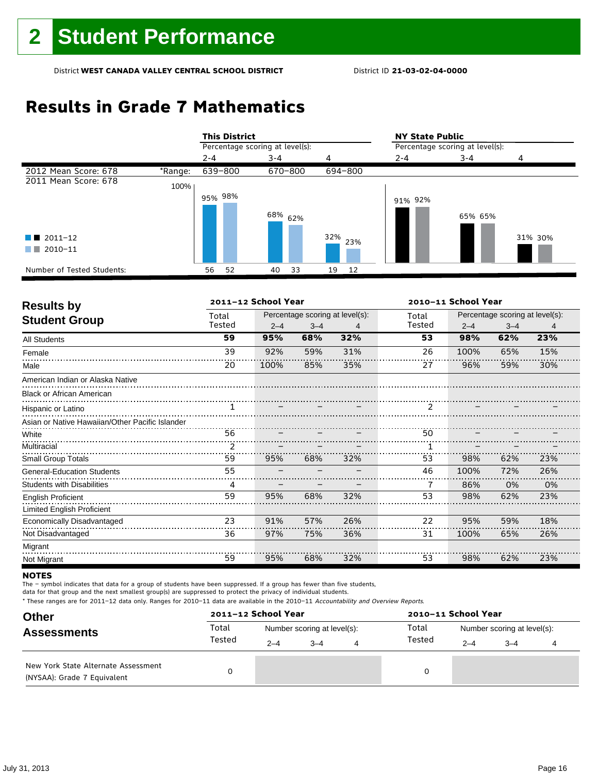## **Results in Grade 7 Mathematics**

|                            |         | <b>This District</b>            |  |         |                    |     |         | <b>NY State Public</b>          |         |         |  |  |
|----------------------------|---------|---------------------------------|--|---------|--------------------|-----|---------|---------------------------------|---------|---------|--|--|
|                            |         | Percentage scoring at level(s): |  |         |                    |     |         | Percentage scoring at level(s): |         |         |  |  |
|                            |         | $2 - 4$                         |  | $3 - 4$ |                    | 4   |         | $2 - 4$                         | $3 - 4$ | 4       |  |  |
| 2012 Mean Score: 678       | *Range: | 639-800                         |  | 670-800 |                    |     | 694-800 |                                 |         |         |  |  |
| 2011 Mean Score: 678       | 100%    |                                 |  |         |                    |     |         |                                 |         |         |  |  |
|                            |         | 95% 98%                         |  |         | 68% <sub>62%</sub> |     |         | 91% 92%                         | 65% 65% |         |  |  |
| $\blacksquare$ 2011-12     |         |                                 |  |         |                    | 32% | 23%     |                                 |         | 31% 30% |  |  |
| 2010-11<br>a ka            |         |                                 |  |         |                    |     |         |                                 |         |         |  |  |
| Number of Tested Students: |         | 56<br>52                        |  | 40      | 33                 | 19  | 12      |                                 |         |         |  |  |

| <b>Results by</b>                               |        | 2011-12 School Year |         |                                 | 2010-11 School Year |         |                                 |     |  |
|-------------------------------------------------|--------|---------------------|---------|---------------------------------|---------------------|---------|---------------------------------|-----|--|
|                                                 | Total  |                     |         | Percentage scoring at level(s): | Total               |         | Percentage scoring at level(s): |     |  |
| <b>Student Group</b>                            | Tested | $2 - 4$             | $3 - 4$ | 4                               | Tested              | $2 - 4$ | $3 - 4$                         | 4   |  |
| <b>All Students</b>                             | 59     | 95%                 | 68%     | 32%                             | 53                  | 98%     | 62%                             | 23% |  |
| Female                                          | 39     | 92%                 | 59%     | 31%                             | 26                  | 100%    | 65%                             | 15% |  |
| Male                                            | 20     | 100%                | 85%     | 35%                             | 27                  | 96%     | 59%                             | 30% |  |
| American Indian or Alaska Native                |        |                     |         |                                 |                     |         |                                 |     |  |
| <b>Black or African American</b>                |        |                     |         |                                 |                     |         |                                 |     |  |
| Hispanic or Latino                              |        |                     |         |                                 | $\mathcal{P}$       |         |                                 |     |  |
| Asian or Native Hawaiian/Other Pacific Islander |        |                     |         |                                 |                     |         |                                 |     |  |
| White                                           | 56     |                     |         |                                 | 50                  |         |                                 |     |  |
| Multiracial                                     | 2      |                     |         |                                 |                     |         |                                 |     |  |
| <b>Small Group Totals</b>                       | 59     | 95%                 | 68%     | 32%                             | 53                  | 98%     | 62%                             | 23% |  |
| <b>General-Education Students</b>               | 55     |                     |         |                                 | 46                  | 100%    | 72%                             | 26% |  |
| <b>Students with Disabilities</b>               | 4      |                     |         |                                 | 7                   | 86%     | 0%                              | 0%  |  |
| <b>English Proficient</b>                       | 59     | 95%                 | 68%     | 32%                             | 53                  | 98%     | 62%                             | 23% |  |
| Limited English Proficient                      |        |                     |         |                                 |                     |         |                                 |     |  |
| Economically Disadvantaged                      | 23     | 91%                 | 57%     | 26%                             | 22                  | 95%     | 59%                             | 18% |  |
| Not Disadvantaged                               | 36     | 97%                 | 75%     | 36%                             | 31                  | 100%    | 65%                             | 26% |  |
| Migrant                                         |        |                     |         |                                 |                     |         |                                 |     |  |
| Not Migrant                                     | 59     | 95%                 | 68%     | 32%                             | 53                  | 98%     | 62%                             | 23% |  |

#### **NOTES**

The – symbol indicates that data for a group of students have been suppressed. If a group has fewer than five students,

data for that group and the next smallest group(s) are suppressed to protect the privacy of individual students.

| <b>Other</b>                                                       |        | 2011-12 School Year |                             |   | 2010-11 School Year |                             |         |  |  |  |
|--------------------------------------------------------------------|--------|---------------------|-----------------------------|---|---------------------|-----------------------------|---------|--|--|--|
| <b>Assessments</b>                                                 | Total  |                     | Number scoring at level(s): |   | Total               | Number scoring at level(s): |         |  |  |  |
|                                                                    | Tested | $2 - 4$             | $3 - 4$                     | 4 | Tested              | $2 - 4$                     | $3 - 4$ |  |  |  |
| New York State Alternate Assessment<br>(NYSAA): Grade 7 Equivalent |        |                     |                             |   | 0                   |                             |         |  |  |  |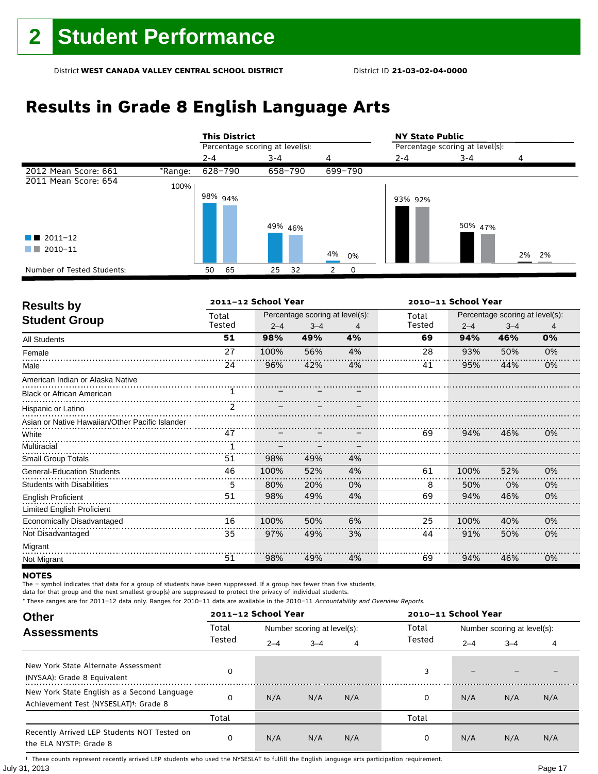## **Results in Grade 8 English Language Arts**

|                            |         |         | <b>This District</b>            |         |         |    |         | <b>NY State Public</b>          |         |       |  |  |
|----------------------------|---------|---------|---------------------------------|---------|---------|----|---------|---------------------------------|---------|-------|--|--|
|                            |         |         | Percentage scoring at level(s): |         |         |    |         | Percentage scoring at level(s): |         |       |  |  |
|                            |         | $2 - 4$ |                                 | $3 - 4$ |         | 4  |         | $2 - 4$                         | $3 - 4$ | 4     |  |  |
| 2012 Mean Score: 661       | *Range: |         | 628-790                         |         | 658-790 |    | 699-790 |                                 |         |       |  |  |
| 2011 Mean Score: 654       | 100%    |         |                                 |         |         |    |         |                                 |         |       |  |  |
|                            |         |         | 98% <sub>94%</sub>              |         |         |    |         | 93% 92%                         |         |       |  |  |
|                            |         |         |                                 |         |         |    |         |                                 |         |       |  |  |
|                            |         |         |                                 |         | 49% 46% |    |         |                                 | 50% 47% |       |  |  |
| $\blacksquare$ 2011-12     |         |         |                                 |         |         |    |         |                                 |         |       |  |  |
| 2010-11<br>a sa Tan        |         |         |                                 |         |         | 4% | 0%      |                                 |         | 2% 2% |  |  |
| Number of Tested Students: |         | 50      | 65                              | 25      | 32      | 2  | 0       |                                 |         |       |  |  |

| <b>Results by</b>                               |               | 2011-12 School Year |                                 |    | 2010-11 School Year |         |                                 |    |  |
|-------------------------------------------------|---------------|---------------------|---------------------------------|----|---------------------|---------|---------------------------------|----|--|
|                                                 | Total         |                     | Percentage scoring at level(s): |    | Total               |         | Percentage scoring at level(s): |    |  |
| <b>Student Group</b>                            | Tested        | $2 - 4$             | $3 - 4$                         | 4  | Tested              | $2 - 4$ | $3 - 4$                         | 4  |  |
| All Students                                    | 51            | 98%                 | 49%                             | 4% | 69                  | 94%     | 46%                             | 0% |  |
| Female                                          | 27            | 100%                | 56%                             | 4% | 28                  | 93%     | 50%                             | 0% |  |
| Male                                            | 24            | 96%                 | 42%                             | 4% | 41                  | 95%     | 44%                             | 0% |  |
| American Indian or Alaska Native                |               |                     |                                 |    |                     |         |                                 |    |  |
| <b>Black or African American</b>                |               |                     |                                 |    |                     |         |                                 |    |  |
| Hispanic or Latino                              | $\mathcal{P}$ |                     |                                 |    |                     |         |                                 |    |  |
| Asian or Native Hawaiian/Other Pacific Islander |               |                     |                                 |    |                     |         |                                 |    |  |
| White                                           | 47            |                     |                                 |    | 69                  | 94%     | 46%                             | 0% |  |
| Multiracial                                     |               |                     |                                 |    |                     |         |                                 |    |  |
| <b>Small Group Totals</b>                       | 51            | 98%                 | 49%                             | 4% |                     |         |                                 |    |  |
| <b>General-Education Students</b>               | 46            | 100%                | 52%                             | 4% | 61                  | 100%    | 52%                             | 0% |  |
| <b>Students with Disabilities</b>               | 5             | 80%                 | 20%                             | 0% | 8                   | 50%     | 0%                              | 0% |  |
| <b>English Proficient</b>                       | 51            | 98%                 | 49%                             | 4% | 69                  | 94%     | 46%                             | 0% |  |
| Limited English Proficient                      |               |                     |                                 |    |                     |         |                                 |    |  |
| Economically Disadvantaged                      | 16            | 100%                | 50%                             | 6% | 25                  | 100%    | 40%                             | 0% |  |
| Not Disadvantaged                               | 35            | 97%                 | 49%                             | 3% | 44                  | 91%     | 50%                             | 0% |  |
| Migrant                                         |               |                     |                                 |    |                     |         |                                 |    |  |
| Not Migrant                                     | 51            | 98%                 | 49%                             | 4% | 69                  | 94%     | 46%                             | 0% |  |

#### **NOTES**

The – symbol indicates that data for a group of students have been suppressed. If a group has fewer than five students,

data for that group and the next smallest group(s) are suppressed to protect the privacy of individual students.

\* These ranges are for 2011–12 data only. Ranges for 2010–11 data are available in the 2010–11 Accountability and Overview Reports.

| <b>Other</b>                                                                                      |        | 2011-12 School Year |                             |     |        | 2010-11 School Year         |         |     |  |  |
|---------------------------------------------------------------------------------------------------|--------|---------------------|-----------------------------|-----|--------|-----------------------------|---------|-----|--|--|
| <b>Assessments</b>                                                                                | Total  |                     | Number scoring at level(s): |     | Total  | Number scoring at level(s): |         |     |  |  |
|                                                                                                   | Tested | $2 - 4$             | $3 - 4$                     | 4   | Tested | $2 - 4$                     | $3 - 4$ | 4   |  |  |
| New York State Alternate Assessment<br>(NYSAA): Grade 8 Equivalent                                | 0      |                     |                             |     | 3      |                             |         |     |  |  |
| New York State English as a Second Language<br>Achievement Test (NYSESLAT) <sup>+</sup> : Grade 8 | O      | N/A                 | N/A                         | N/A | 0      | N/A                         | N/A     | N/A |  |  |
|                                                                                                   | Total  |                     |                             |     | Total  |                             |         |     |  |  |
| Recently Arrived LEP Students NOT Tested on<br>the ELA NYSTP: Grade 8                             | 0      | N/A                 | N/A                         | N/A | 0      | N/A                         | N/A     | N/A |  |  |

July 31, 2013 Page 17 † These counts represent recently arrived LEP students who used the NYSESLAT to fulfill the English language arts participation requirement.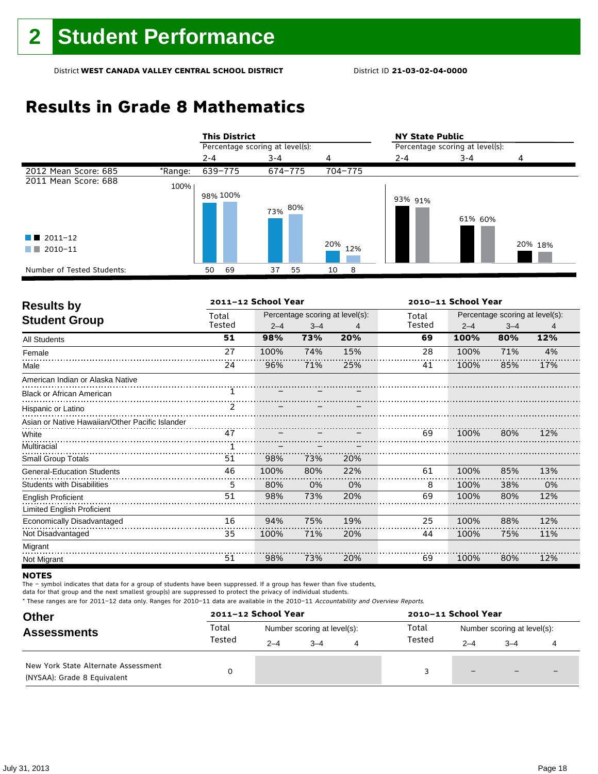## **Results in Grade 8 Mathematics**

|                                               |         |         | <b>This District</b>            |         |         |     |         | <b>NY State Public</b>          |         |         |  |  |
|-----------------------------------------------|---------|---------|---------------------------------|---------|---------|-----|---------|---------------------------------|---------|---------|--|--|
|                                               |         |         | Percentage scoring at level(s): |         |         |     |         | Percentage scoring at level(s): |         |         |  |  |
|                                               |         | $2 - 4$ |                                 | $3 - 4$ |         | 4   |         | $2 - 4$                         | $3 - 4$ | 4       |  |  |
| 2012 Mean Score: 685                          | *Range: |         | 639-775                         |         | 674-775 |     | 704-775 |                                 |         |         |  |  |
| 2011 Mean Score: 688                          | 100%    |         | 98% 100%                        |         | 73% 80% |     |         | 93% 91%                         | 61% 60% |         |  |  |
| $\blacksquare$ 2011-12<br>2010-11<br>a katika |         |         |                                 |         |         | 20% | 12%     |                                 |         | 20% 18% |  |  |
| Number of Tested Students:                    |         | 50      | 69                              | 37      | 55      | 10  | 8       |                                 |         |         |  |  |

| <b>Results by</b>                               |               | 2011-12 School Year |         |                                 | 2010-11 School Year |         |                                 |     |  |
|-------------------------------------------------|---------------|---------------------|---------|---------------------------------|---------------------|---------|---------------------------------|-----|--|
| <b>Student Group</b>                            | Total         |                     |         | Percentage scoring at level(s): | Total               |         | Percentage scoring at level(s): |     |  |
|                                                 | Tested        | $2 - 4$             | $3 - 4$ | 4                               | Tested              | $2 - 4$ | $3 - 4$                         | 4   |  |
| <b>All Students</b>                             | 51            | 98%                 | 73%     | 20%                             | 69                  | 100%    | 80%                             | 12% |  |
| Female                                          | 27            | 100%                | 74%     | 15%                             | 28                  | 100%    | 71%                             | 4%  |  |
| Male                                            | 24            | 96%                 | 71%     | 25%                             | 41                  | 100%    | 85%                             | 17% |  |
| American Indian or Alaska Native                |               |                     |         |                                 |                     |         |                                 |     |  |
| <b>Black or African American</b>                | 1.            |                     |         |                                 |                     |         |                                 |     |  |
| Hispanic or Latino                              | $\mathcal{P}$ |                     |         |                                 |                     |         |                                 |     |  |
| Asian or Native Hawaiian/Other Pacific Islander |               |                     |         |                                 |                     |         |                                 |     |  |
| White                                           | 47            |                     |         |                                 | 69                  | 100%    | 80%                             | 12% |  |
| Multiracial                                     |               |                     |         |                                 |                     |         |                                 |     |  |
| <b>Small Group Totals</b>                       | 51            | 98%                 | 73%     | 20%                             |                     |         |                                 |     |  |
| <b>General-Education Students</b>               | 46            | 100%                | 80%     | 22%                             | 61                  | 100%    | 85%                             | 13% |  |
| <b>Students with Disabilities</b>               | 5             | 80%                 | 0%      | 0%                              | 8                   | 100%    | 38%                             | 0%  |  |
| <b>English Proficient</b>                       | 51            | 98%                 | 73%     | 20%                             | 69                  | 100%    | 80%                             | 12% |  |
| <b>Limited English Proficient</b>               |               |                     |         |                                 |                     |         |                                 |     |  |
| Economically Disadvantaged                      | 16            | 94%                 | 75%     | 19%                             | 25                  | 100%    | 88%                             | 12% |  |
| Not Disadvantaged                               | 35            | 100%                | 71%     | 20%                             | 44                  | 100%    | 75%                             | 11% |  |
| Migrant                                         |               |                     |         |                                 |                     |         |                                 |     |  |
| Not Migrant                                     | 51            | 98%                 | 73%     | 20%                             | 69                  | 100%    | 80%                             | 12% |  |

#### **NOTES**

The – symbol indicates that data for a group of students have been suppressed. If a group has fewer than five students,

data for that group and the next smallest group(s) are suppressed to protect the privacy of individual students.

| <b>Other</b>                                                       |        | 2011-12 School Year |                             |   | 2010-11 School Year |                             |                          |                          |  |
|--------------------------------------------------------------------|--------|---------------------|-----------------------------|---|---------------------|-----------------------------|--------------------------|--------------------------|--|
| <b>Assessments</b>                                                 | Total  |                     | Number scoring at level(s): |   | Total               | Number scoring at level(s): |                          |                          |  |
|                                                                    | Tested | $2 - 4$             | $3 - 4$                     | 4 | Tested              | $2 - 4$                     | $3 - 4$                  |                          |  |
| New York State Alternate Assessment<br>(NYSAA): Grade 8 Equivalent |        |                     |                             |   |                     | $\qquad \qquad -$           | $\overline{\phantom{0}}$ | $\overline{\phantom{0}}$ |  |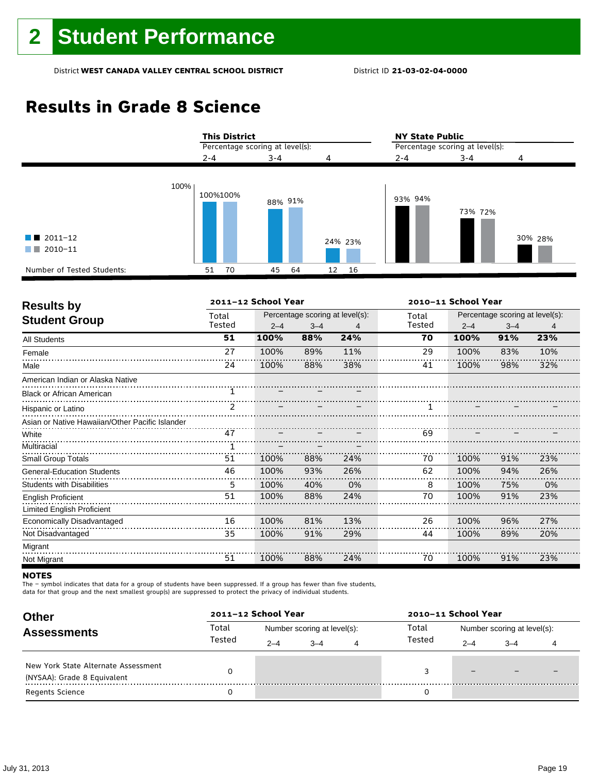## **Results in Grade 8 Science**



| <b>Results by</b>                               |                | 2011-12 School Year |         |                                 | 2010-11 School Year                                                                                                  |         |                                 |     |  |
|-------------------------------------------------|----------------|---------------------|---------|---------------------------------|----------------------------------------------------------------------------------------------------------------------|---------|---------------------------------|-----|--|
|                                                 | Total          |                     |         | Percentage scoring at level(s): | Total                                                                                                                |         | Percentage scoring at level(s): |     |  |
| <b>Student Group</b>                            | Tested         | $2 - 4$             | $3 - 4$ | 4                               | Tested                                                                                                               | $2 - 4$ | $3 - 4$                         | 4   |  |
| <b>All Students</b>                             | 51             | 100%                | 88%     | 24%                             | 70                                                                                                                   | 100%    | 91%                             | 23% |  |
| Female                                          | 27             | 100%                | 89%     | 11%                             | 29                                                                                                                   | 100%    | 83%                             | 10% |  |
| Male                                            | 24             | 100%                | 88%     | 38%                             | 41                                                                                                                   | 100%    | 98%                             | 32% |  |
| American Indian or Alaska Native                |                |                     |         |                                 |                                                                                                                      |         |                                 |     |  |
| <b>Black or African American</b>                | 1.             |                     |         |                                 |                                                                                                                      |         |                                 |     |  |
| Hispanic or Latino                              | $\mathcal{P}$  |                     |         |                                 |                                                                                                                      |         |                                 |     |  |
| Asian or Native Hawaiian/Other Pacific Islander |                |                     |         |                                 |                                                                                                                      |         |                                 |     |  |
| White                                           | $\frac{1}{47}$ |                     |         |                                 | <u> 1200   1200   1200   1200   1200   1200   1200   1200   1200   1200   1200   1200   1200   1200   1200   120</u> |         |                                 |     |  |
| Multiracial                                     |                |                     |         |                                 |                                                                                                                      |         |                                 |     |  |
| Small Group Totals                              | 51             | 100%                | 88%     | 24%                             | 70                                                                                                                   | 100%    | 91%                             | 23% |  |
| <b>General-Education Students</b>               | 46             | 100%                | 93%     | 26%                             | 62                                                                                                                   | 100%    | 94%                             | 26% |  |
| <b>Students with Disabilities</b>               | 5              | 100%                | 40%     | 0%                              | 8                                                                                                                    | 100%    | 75%                             | 0%  |  |
| <b>English Proficient</b>                       | 51             | 100%                | 88%     | 24%                             | 70                                                                                                                   | 100%    | 91%                             | 23% |  |
| Limited English Proficient                      |                |                     |         |                                 |                                                                                                                      |         |                                 |     |  |
| Economically Disadvantaged                      | 16             | 100%                | 81%     | 13%                             | 26                                                                                                                   | 100%    | 96%                             | 27% |  |
| Not Disadvantaged                               | 35             | 100%                | 91%     | 29%                             | 44                                                                                                                   | 100%    | 89%                             | 20% |  |
| Migrant                                         |                |                     |         |                                 |                                                                                                                      |         |                                 |     |  |
| Not Migrant                                     | 51             | 100%                | 88%     | 24%                             | 70                                                                                                                   | 100%    | 91%                             | 23% |  |

#### **NOTES**

The – symbol indicates that data for a group of students have been suppressed. If a group has fewer than five students,

data for that group and the next smallest group(s) are suppressed to protect the privacy of individual students.

| <b>Other</b>                        |                 | 2011-12 School Year |                             |   | 2010-11 School Year |                             |      |  |  |
|-------------------------------------|-----------------|---------------------|-----------------------------|---|---------------------|-----------------------------|------|--|--|
| <b>Assessments</b>                  | Total<br>Tested |                     | Number scoring at level(s): |   | Total               | Number scoring at level(s): |      |  |  |
|                                     |                 | $2 - 4$             | $-4$                        | 4 | Tested              | $2 - 4$                     | $-4$ |  |  |
| New York State Alternate Assessment |                 |                     |                             |   |                     |                             |      |  |  |
| (NYSAA): Grade 8 Equivalent         |                 |                     |                             |   |                     | $\overline{\phantom{m}}$    |      |  |  |
| Regents Science                     |                 |                     |                             |   |                     |                             |      |  |  |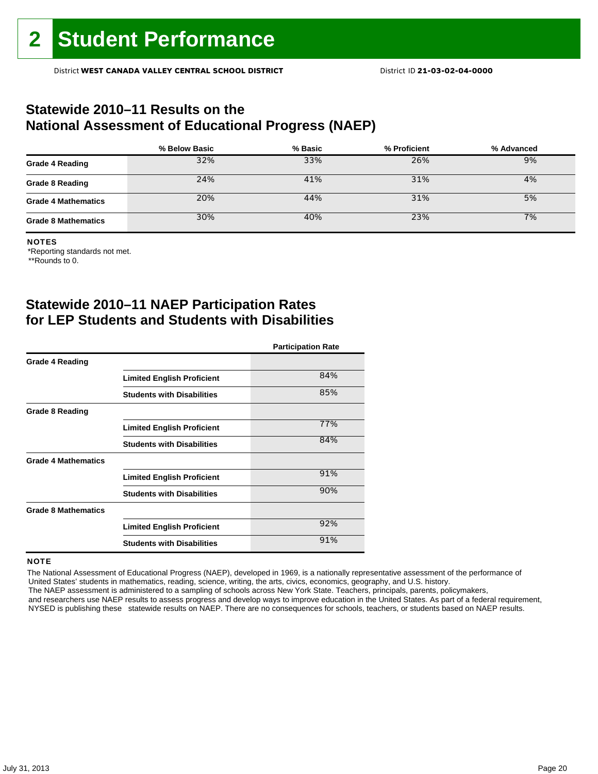### **Statewide 2010–11 Results on the National Assessment of Educational Progress (NAEP)**

|                            | % Below Basic | % Basic | % Proficient | % Advanced |
|----------------------------|---------------|---------|--------------|------------|
| <b>Grade 4 Reading</b>     | 32%           | 33%     | 26%          | 9%         |
| <b>Grade 8 Reading</b>     | 24%           | 41%     | 31%          | 4%         |
| <b>Grade 4 Mathematics</b> | 20%           | 44%     | 31%          | 5%         |
| <b>Grade 8 Mathematics</b> | 30%           | 40%     | 23%          | 7%         |

#### NOTES

\*Reporting standards not met.

\*\*Rounds to 0.

### **Statewide 2010–11 NAEP Participation Rates for LEP Students and Students with Disabilities**

|                            |                                   | <b>Participation Rate</b> |
|----------------------------|-----------------------------------|---------------------------|
| <b>Grade 4 Reading</b>     |                                   |                           |
|                            | <b>Limited English Proficient</b> | 84%                       |
|                            | <b>Students with Disabilities</b> | 85%                       |
| <b>Grade 8 Reading</b>     |                                   |                           |
|                            | <b>Limited English Proficient</b> | 77%                       |
|                            | <b>Students with Disabilities</b> | 84%                       |
| <b>Grade 4 Mathematics</b> |                                   |                           |
|                            | <b>Limited English Proficient</b> | 91%                       |
|                            | <b>Students with Disabilities</b> | 90%                       |
| <b>Grade 8 Mathematics</b> |                                   |                           |
|                            | <b>Limited English Proficient</b> | 92%                       |
|                            | <b>Students with Disabilities</b> | 91%                       |

#### **NOTE**

 The National Assessment of Educational Progress (NAEP), developed in 1969, is a nationally representative assessment of the performance of United States' students in mathematics, reading, science, writing, the arts, civics, economics, geography, and U.S. history. The NAEP assessment is administered to a sampling of schools across New York State. Teachers, principals, parents, policymakers,

 and researchers use NAEP results to assess progress and develop ways to improve education in the United States. As part of a federal requirement, NYSED is publishing these statewide results on NAEP. There are no consequences for schools, teachers, or students based on NAEP results.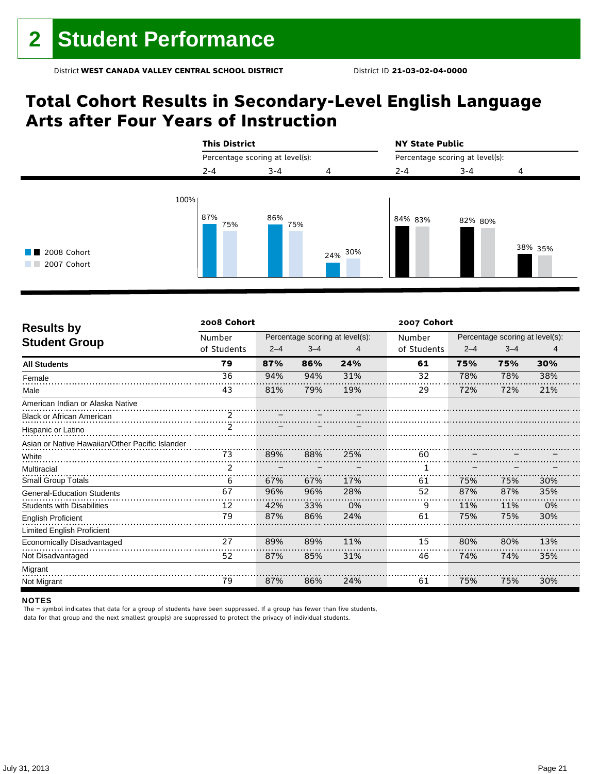## **Total Cohort Results in Secondary-Level English Language Arts after Four Years of Instruction**



| <b>Results by</b>                               | 2008 Cohort   |         |         |                                 | 2007 Cohort |         |                                 |     |  |
|-------------------------------------------------|---------------|---------|---------|---------------------------------|-------------|---------|---------------------------------|-----|--|
|                                                 | Number        |         |         | Percentage scoring at level(s): | Number      |         | Percentage scoring at level(s): |     |  |
| <b>Student Group</b>                            | of Students   | $2 - 4$ | $3 - 4$ | 4                               | of Students | $2 - 4$ | $3 - 4$                         | 4   |  |
| <b>All Students</b>                             | 79            | 87%     | 86%     | 24%                             | 61          | 75%     | 75%                             | 30% |  |
| Female                                          | 36            | 94%     | 94%     | 31%                             | 32          | 78%     | 78%                             | 38% |  |
| Male                                            | 43            | 81%     | 79%     | 19%                             | 29          | 72%     | 72%                             | 21% |  |
| American Indian or Alaska Native                |               |         |         |                                 |             |         |                                 |     |  |
| <b>Black or African American</b>                |               |         |         |                                 |             |         |                                 |     |  |
| Hispanic or Latino                              | $\frac{1}{2}$ |         |         |                                 |             |         |                                 |     |  |
| Asian or Native Hawaiian/Other Pacific Islander |               |         |         |                                 |             |         |                                 |     |  |
| White                                           | 73            | 89%     | 88%     | 25%                             | 60          |         |                                 |     |  |
| Multiracial                                     |               |         |         |                                 |             |         |                                 |     |  |
| <b>Small Group Totals</b>                       | 6             | 67%     | 67%     | 17%                             | 61          | 75%     | 75%                             | 30% |  |
| <b>General-Education Students</b>               | 67            | 96%     | 96%     | 28%                             | 52          | 87%     | 87%                             | 35% |  |
| <b>Students with Disabilities</b>               | 12            | 42%     | 33%     | 0%                              | 9           | 11%     | 11%                             | 0%  |  |
| <b>English Proficient</b>                       | 79            | 87%     | 86%     | 24%                             | 61          | 75%     | 75%                             | 30% |  |
| Limited English Proficient                      |               |         |         |                                 |             |         |                                 |     |  |
| Economically Disadvantaged                      | 27            | 89%     | 89%     | 11%                             | 15          | 80%     | 80%                             | 13% |  |
| Not Disadvantaged                               | 52            | 87%     | 85%     | 31%                             | 46          | 74%     | 74%                             | 35% |  |
| Migrant                                         |               |         |         |                                 |             |         |                                 |     |  |
| Not Migrant                                     | 79            | 87%     | 86%     | 24%                             | 61          | 75%     | 75%                             | 30% |  |

#### NOTES

The – symbol indicates that data for a group of students have been suppressed. If a group has fewer than five students, data for that group and the next smallest group(s) are suppressed to protect the privacy of individual students.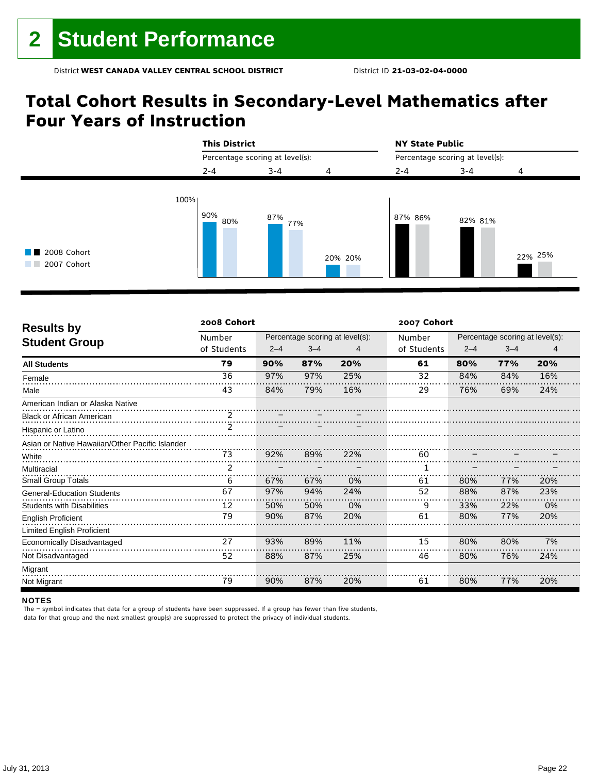## **Total Cohort Results in Secondary-Level Mathematics after Four Years of Instruction**



| <b>Results by</b>                               | 2008 Cohort   |         |         |                                 | 2007 Cohort |         |                                 |     |  |  |
|-------------------------------------------------|---------------|---------|---------|---------------------------------|-------------|---------|---------------------------------|-----|--|--|
|                                                 | Number        |         |         | Percentage scoring at level(s): | Number      |         | Percentage scoring at level(s): |     |  |  |
| <b>Student Group</b>                            | of Students   | $2 - 4$ | $3 - 4$ | 4                               | of Students | $2 - 4$ | $3 - 4$                         | 4   |  |  |
| <b>All Students</b>                             | 79            | 90%     | 87%     | 20%                             | 61          | 80%     | 77%                             | 20% |  |  |
| Female                                          | 36            | 97%     | 97%     | 25%                             | 32          | 84%     | 84%                             | 16% |  |  |
| Male                                            | 43            | 84%     | 79%     | 16%                             | 29          | 76%     | 69%                             | 24% |  |  |
| American Indian or Alaska Native                |               |         |         |                                 |             |         |                                 |     |  |  |
| <b>Black or African American</b>                |               |         |         |                                 |             |         |                                 |     |  |  |
| Hispanic or Latino                              | $\frac{1}{2}$ |         |         |                                 |             |         |                                 |     |  |  |
| Asian or Native Hawaiian/Other Pacific Islander |               |         |         |                                 |             |         |                                 |     |  |  |
| White                                           | 73            | 92%     | 89%     | 22%                             | 60          |         |                                 |     |  |  |
| Multiracial                                     | 2             |         |         |                                 |             |         |                                 |     |  |  |
| <b>Small Group Totals</b>                       | 6             | 67%     | 67%     | 0%                              | 61          | 80%     | 77%                             | 20% |  |  |
| <b>General-Education Students</b>               | 67            | 97%     | 94%     | 24%                             | 52          | 88%     | 87%                             | 23% |  |  |
| Students with Disabilities                      | 12            | 50%     | 50%     | 0%                              | 9           | 33%     | 22%                             | 0%  |  |  |
| <b>English Proficient</b>                       | 79            | 90%     | 87%     | 20%                             | 61          | 80%     | 77%                             | 20% |  |  |
| <b>Limited English Proficient</b>               |               |         |         |                                 |             |         |                                 |     |  |  |
| Economically Disadvantaged                      | 27            | 93%     | 89%     | 11%                             | 15          | 80%     | 80%                             | 7%  |  |  |
| Not Disadvantaged                               | 52            | 88%     | 87%     | 25%                             | 46          | 80%     | 76%                             | 24% |  |  |
| Migrant                                         |               |         |         |                                 |             |         |                                 |     |  |  |
| Not Migrant                                     | 79            | 90%     | 87%     | 20%                             | 61          | 80%     | 77%                             | 20% |  |  |

#### NOTES

The – symbol indicates that data for a group of students have been suppressed. If a group has fewer than five students, data for that group and the next smallest group(s) are suppressed to protect the privacy of individual students.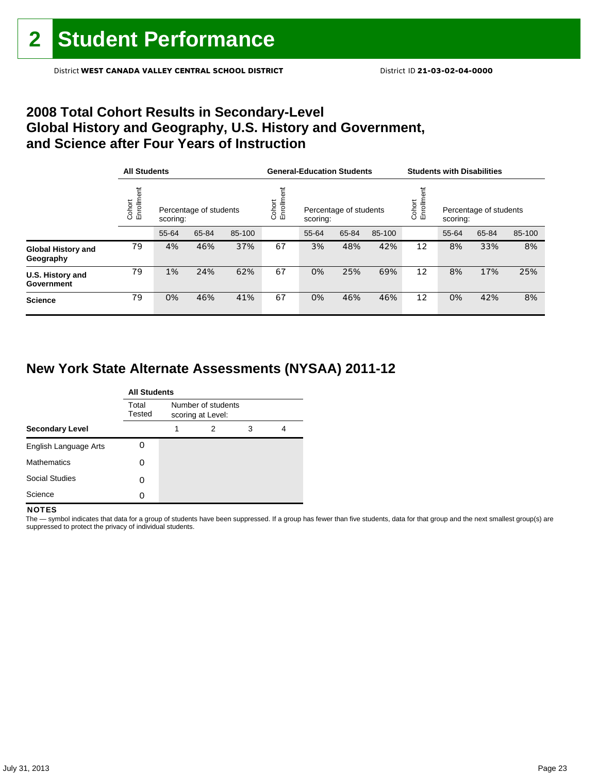#### District **WEST CANADA VALLEY CENTRAL SCHOOL DISTRICT** District ID **21-03-02-04-0000**

### **2008 Total Cohort Results in Secondary-Level Global History and Geography, U.S. History and Government, and Science after Four Years of Instruction**

|                                        |                      | <b>All Students</b> |                        |        |                   | <b>General-Education Students</b>  |       |        |                   | <b>Students with Disabilities</b> |                        |        |  |
|----------------------------------------|----------------------|---------------------|------------------------|--------|-------------------|------------------------------------|-------|--------|-------------------|-----------------------------------|------------------------|--------|--|
|                                        | Enrollment<br>Cohort | scoring:            | Percentage of students |        | Enrollm<br>Cohort | Percentage of students<br>scoring: |       |        | Cohort<br>Enrollm | scoring:                          | Percentage of students |        |  |
|                                        |                      | 55-64               | 65-84                  | 85-100 |                   | 55-64                              | 65-84 | 85-100 |                   | 55-64                             | 65-84                  | 85-100 |  |
| <b>Global History and</b><br>Geography | 79                   | 4%                  | 46%                    | 37%    | 67                | 3%                                 | 48%   | 42%    | 12                | 8%                                | 33%                    | 8%     |  |
| U.S. History and<br>Government         | 79                   | 1%                  | 24%                    | 62%    | 67                | 0%                                 | 25%   | 69%    | 12                | 8%                                | 17%                    | 25%    |  |
| <b>Science</b>                         | 79                   | 0%                  | 46%                    | 41%    | 67                | 0%                                 | 46%   | 46%    | 12                | 0%                                | 42%                    | 8%     |  |

### **New York State Alternate Assessments (NYSAA) 2011-12**

|                        | <b>All Students</b> |                                         |   |   |   |  |  |  |  |  |
|------------------------|---------------------|-----------------------------------------|---|---|---|--|--|--|--|--|
|                        | Total<br>Tested     | Number of students<br>scoring at Level: |   |   |   |  |  |  |  |  |
| <b>Secondary Level</b> |                     | 1                                       | 2 | 3 | 4 |  |  |  |  |  |
| English Language Arts  |                     |                                         |   |   |   |  |  |  |  |  |
| <b>Mathematics</b>     | 0                   |                                         |   |   |   |  |  |  |  |  |
| <b>Social Studies</b>  | O                   |                                         |   |   |   |  |  |  |  |  |
| Science                |                     |                                         |   |   |   |  |  |  |  |  |

#### **NOTES**

The - symbol indicates that data for a group of students have been suppressed. If a group has fewer than five students, data for that group and the next smallest group(s) are suppressed to protect the privacy of individual students.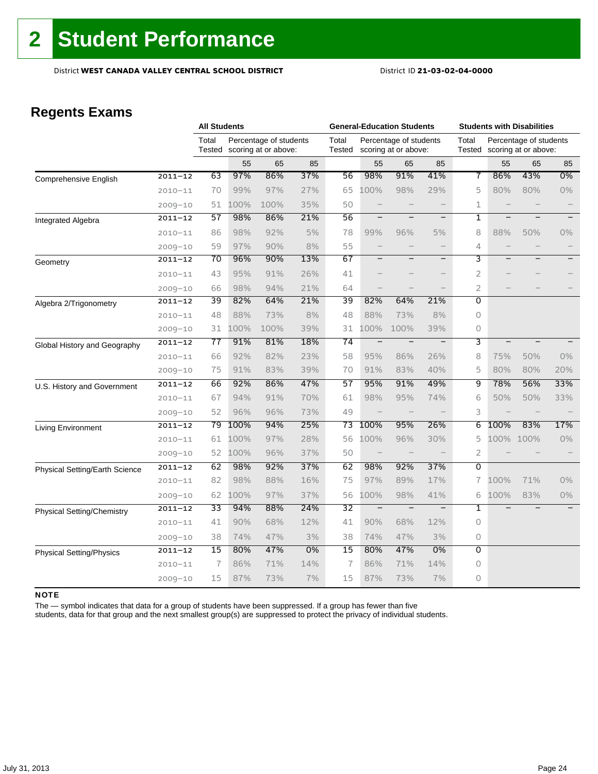### **Regents Exams**

|                                       |             |                 | <b>All Students</b> |                                                |     | <b>General-Education Students</b> |                          |                                                |                   | <b>Students with Disabilities</b> |                          |                                                |       |
|---------------------------------------|-------------|-----------------|---------------------|------------------------------------------------|-----|-----------------------------------|--------------------------|------------------------------------------------|-------------------|-----------------------------------|--------------------------|------------------------------------------------|-------|
|                                       |             | Total<br>Tested |                     | Percentage of students<br>scoring at or above: |     | Total<br><b>Tested</b>            |                          | Percentage of students<br>scoring at or above: |                   | Total<br>Tested                   |                          | Percentage of students<br>scoring at or above: |       |
|                                       |             |                 | 55                  | 65                                             | 85  |                                   | 55                       | 65                                             | 85                |                                   | 55                       | 65                                             | 85    |
| Comprehensive English                 | $2011 - 12$ | 63              | 97%                 | 86%                                            | 37% | 56                                | 98%                      | 91%                                            | 41%               | 7                                 | 86%                      | 43%                                            | 0%    |
|                                       | $2010 - 11$ | 70              | 99%                 | 97%                                            | 27% | 65                                | 100%                     | 98%                                            | 29%               | 5                                 | 80%                      | 80%                                            | $0\%$ |
|                                       | $2009 - 10$ | 51              | 100%                | 100%                                           | 35% | 50                                | $\qquad \qquad -$        |                                                |                   | 1                                 |                          |                                                |       |
| <b>Integrated Algebra</b>             | $2011 - 12$ | 57              | 98%                 | 86%                                            | 21% | 56                                |                          |                                                | $\qquad \qquad -$ | 1                                 |                          |                                                |       |
|                                       | $2010 - 11$ | 86              | 98%                 | 92%                                            | 5%  | 78                                | 99%                      | 96%                                            | 5%                | 8                                 | 88%                      | 50%                                            | $0\%$ |
|                                       | $2009 - 10$ | 59              | 97%                 | 90%                                            | 8%  | 55                                |                          |                                                | $\qquad \qquad -$ | 4                                 |                          |                                                |       |
| Geometry                              | $2011 - 12$ | 70              | 96%                 | 90%                                            | 13% | 67                                | —                        | -                                              | $\qquad \qquad -$ | 3                                 |                          |                                                |       |
|                                       | $2010 - 11$ | 43              | 95%                 | 91%                                            | 26% | 41                                |                          |                                                | $\qquad \qquad -$ | 2                                 |                          |                                                |       |
|                                       | $2009 - 10$ | 66              | 98%                 | 94%                                            | 21% | 64                                |                          |                                                |                   | $\overline{2}$                    |                          |                                                |       |
| Algebra 2/Trigonometry                | $2011 - 12$ | 39              | 82%                 | 64%                                            | 21% | 39                                | 82%                      | 64%                                            | 21%               | 0                                 |                          |                                                |       |
|                                       | $2010 - 11$ | 48              | 88%                 | 73%                                            | 8%  | 48                                | 88%                      | 73%                                            | 8%                | 0                                 |                          |                                                |       |
|                                       | $2009 - 10$ | 31              | 100%                | 100%                                           | 39% | 31                                | 100%                     | 100%                                           | 39%               | 0                                 |                          |                                                |       |
| Global History and Geography          | $2011 - 12$ | 77              | 91%                 | 81%                                            | 18% | $\overline{74}$                   | $\overline{\phantom{0}}$ |                                                | $\qquad \qquad -$ | 3                                 | $\overline{\phantom{0}}$ |                                                |       |
|                                       | $2010 - 11$ | 66              | 92%                 | 82%                                            | 23% | 58                                | 95%                      | 86%                                            | 26%               | 8                                 | 75%                      | 50%                                            | 0%    |
|                                       | $2009 - 10$ | 75              | 91%                 | 83%                                            | 39% | 70                                | 91%                      | 83%                                            | 40%               | 5                                 | 80%                      | 80%                                            | 20%   |
| U.S. History and Government           | $2011 - 12$ | 66              | 92%                 | 86%                                            | 47% | 57                                | 95%                      | 91%                                            | 49%               | 9                                 | 78%                      | 56%                                            | 33%   |
|                                       | $2010 - 11$ | 67              | 94%                 | 91%                                            | 70% | 61                                | 98%                      | 95%                                            | 74%               | 6                                 | 50%                      | 50%                                            | 33%   |
|                                       | $2009 - 10$ | 52              | 96%                 | 96%                                            | 73% | 49                                |                          |                                                |                   | 3                                 |                          |                                                |       |
| <b>Living Environment</b>             | $2011 - 12$ | 79              | 100%                | 94%                                            | 25% | 73                                | 100%                     | 95%                                            | 26%               | 6                                 | 100%                     | 83%                                            | 17%   |
|                                       | $2010 - 11$ | 61              | 100%                | 97%                                            | 28% | 56                                | 100%                     | 96%                                            | 30%               | 5                                 | 100%                     | 100%                                           | $0\%$ |
|                                       | $2009 - 10$ | 52              | 100%                | 96%                                            | 37% | 50                                | $\qquad \qquad -$        |                                                |                   | $\overline{2}$                    |                          |                                                |       |
| <b>Physical Setting/Earth Science</b> | $2011 - 12$ | 62              | 98%                 | 92%                                            | 37% | 62                                | 98%                      | 92%                                            | 37%               | $\overline{0}$                    |                          |                                                |       |
|                                       | $2010 - 11$ | 82              | 98%                 | 88%                                            | 16% | 75                                | 97%                      | 89%                                            | 17%               | 7                                 | 100%                     | 71%                                            | 0%    |
|                                       | $2009 - 10$ | 62              | 100%                | 97%                                            | 37% | 56                                | 100%                     | 98%                                            | 41%               | 6                                 | 100%                     | 83%                                            | $0\%$ |
| <b>Physical Setting/Chemistry</b>     | $2011 - 12$ | 33              | 94%                 | 88%                                            | 24% | 32                                | $\overline{\phantom{m}}$ | $\overline{\phantom{a}}$                       |                   | 1                                 |                          |                                                |       |
|                                       | $2010 - 11$ | 41              | 90%                 | 68%                                            | 12% | 41                                | 90%                      | 68%                                            | 12%               | 0                                 |                          |                                                |       |
|                                       | $2009 - 10$ | 38              | 74%                 | 47%                                            | 3%  | 38                                | 74%                      | 47%                                            | 3%                | 0                                 |                          |                                                |       |
| <b>Physical Setting/Physics</b>       | $2011 - 12$ | $\overline{15}$ | 80%                 | 47%                                            | 0%  | $\overline{15}$                   | 80%                      | 47%                                            | $0\%$             | $\overline{0}$                    |                          |                                                |       |
|                                       | $2010 - 11$ | $\overline{1}$  | 86%                 | 71%                                            | 14% | 7                                 | 86%                      | 71%                                            | 14%               | 0                                 |                          |                                                |       |
|                                       | $2009 - 10$ | 15              | 87%                 | 73%                                            | 7%  | 15                                | 87%                      | 73%                                            | 7%                | 0                                 |                          |                                                |       |

#### NOTE

The — symbol indicates that data for a group of students have been suppressed. If a group has fewer than five

students, data for that group and the next smallest group(s) are suppressed to protect the privacy of individual students.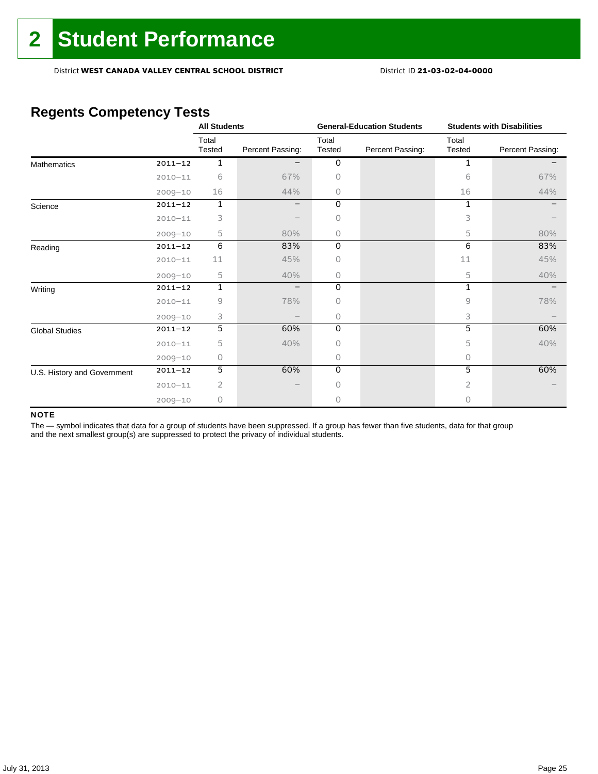District **WEST CANADA VALLEY CENTRAL SCHOOL DISTRICT** District ID **21-03-02-04-0000**

## **Regents Competency Tests**

|                             |             | <b>All Students</b> |                  |                 | <b>General-Education Students</b> | <b>Students with Disabilities</b> |                  |  |
|-----------------------------|-------------|---------------------|------------------|-----------------|-----------------------------------|-----------------------------------|------------------|--|
|                             |             | Total<br>Tested     | Percent Passing: | Total<br>Tested | Percent Passing:                  | Total<br>Tested                   | Percent Passing: |  |
| <b>Mathematics</b>          | $2011 - 12$ | 1                   |                  | 0               |                                   | 1                                 |                  |  |
|                             | $2010 - 11$ | 6                   | 67%              | 0               |                                   | 6                                 | 67%              |  |
|                             | $2009 - 10$ | 16                  | 44%              | 0               |                                   | 16                                | 44%              |  |
| Science                     | $2011 - 12$ | $\mathbf 1$         |                  | 0               |                                   | 1                                 |                  |  |
|                             | $2010 - 11$ | 3                   |                  | 0               |                                   | 3                                 |                  |  |
|                             | $2009 - 10$ | 5                   | 80%              | 0               |                                   | 5                                 | 80%              |  |
| Reading                     | $2011 - 12$ | 6                   | 83%              | 0               |                                   | 6                                 | 83%              |  |
|                             | $2010 - 11$ | 11                  | 45%              | Ω               |                                   | 11                                | 45%              |  |
|                             | $2009 - 10$ | 5                   | 40%              | 0               |                                   | 5                                 | 40%              |  |
| Writing                     | $2011 - 12$ | $\mathbf{1}$        |                  | $\Omega$        |                                   | 1                                 |                  |  |
|                             | $2010 - 11$ | 9                   | 78%              | $\bigcap$       |                                   | 9                                 | 78%              |  |
|                             | $2009 - 10$ | 3                   |                  | 0               |                                   | 3                                 |                  |  |
| <b>Global Studies</b>       | $2011 - 12$ | 5                   | 60%              | 0               |                                   | 5                                 | 60%              |  |
|                             | $2010 - 11$ | 5                   | 40%              | 0               |                                   | 5                                 | 40%              |  |
|                             | $2009 - 10$ | 0                   |                  | 0               |                                   | 0                                 |                  |  |
| U.S. History and Government | $2011 - 12$ | 5                   | 60%              | $\Omega$        |                                   | 5                                 | 60%              |  |
|                             | $2010 - 11$ | $\overline{2}$      |                  | 0               |                                   | 2                                 |                  |  |
|                             | $2009 - 10$ | 0                   |                  | U               |                                   | O.                                |                  |  |

#### NOTE

The - symbol indicates that data for a group of students have been suppressed. If a group has fewer than five students, data for that group and the next smallest group(s) are suppressed to protect the privacy of individual students.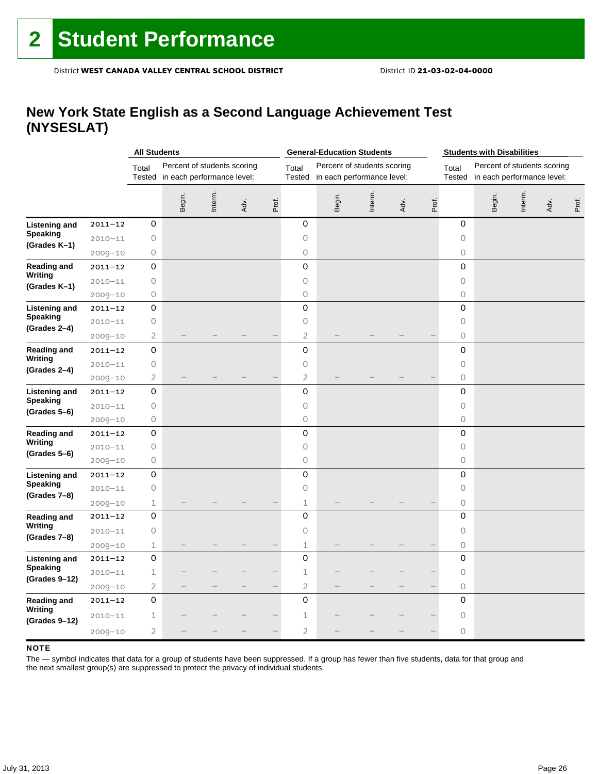### **New York State English as a Second Language Achievement Test (NYSESLAT)**

|                      |             | <b>All Students</b><br><b>General-Education Students</b> |                                                           |         |      |       |                        | <b>Students with Disabilities</b>                         |         |      |       |                 |                                                           |         |      |       |
|----------------------|-------------|----------------------------------------------------------|-----------------------------------------------------------|---------|------|-------|------------------------|-----------------------------------------------------------|---------|------|-------|-----------------|-----------------------------------------------------------|---------|------|-------|
|                      |             | Total<br>Tested                                          | Percent of students scoring<br>in each performance level: |         |      |       | Total<br><b>Tested</b> | Percent of students scoring<br>in each performance level: |         |      |       | Total<br>Tested | Percent of students scoring<br>in each performance level: |         |      |       |
|                      |             |                                                          | Begin.                                                    | Interm. | Adv. | Prof. |                        | Begin.                                                    | Interm. | Adv. | Prof. |                 | Begin.                                                    | Interm. | Adv. | Prof. |
| <b>Listening and</b> | $2011 - 12$ | 0                                                        |                                                           |         |      |       | 0                      |                                                           |         |      |       | 0               |                                                           |         |      |       |
| <b>Speaking</b>      | $2010 - 11$ | 0                                                        |                                                           |         |      |       | 0                      |                                                           |         |      |       | 0               |                                                           |         |      |       |
| (Grades K-1)         | $2009 - 10$ | 0                                                        |                                                           |         |      |       | 0                      |                                                           |         |      |       | $\circ$         |                                                           |         |      |       |
| <b>Reading and</b>   | $2011 - 12$ | 0                                                        |                                                           |         |      |       | 0                      |                                                           |         |      |       | 0               |                                                           |         |      |       |
| Writing              | $2010 - 11$ | $\bigcirc$                                               |                                                           |         |      |       | $\circ$                |                                                           |         |      |       | $\bigcirc$      |                                                           |         |      |       |
| (Grades K-1)         | $2009 - 10$ | 0                                                        |                                                           |         |      |       | 0                      |                                                           |         |      |       | 0               |                                                           |         |      |       |
| <b>Listening and</b> | $2011 - 12$ | 0                                                        |                                                           |         |      |       | 0                      |                                                           |         |      |       | 0               |                                                           |         |      |       |
| <b>Speaking</b>      | $2010 - 11$ | 0                                                        |                                                           |         |      |       | 0                      |                                                           |         |      |       | $\circ$         |                                                           |         |      |       |
| $(Grades 2-4)$       | $2009 - 10$ | $\overline{2}$                                           |                                                           |         |      |       | $\overline{2}$         |                                                           |         |      |       | $\circ$         |                                                           |         |      |       |
| <b>Reading and</b>   | $2011 - 12$ | 0                                                        |                                                           |         |      |       | 0                      |                                                           |         |      |       | 0               |                                                           |         |      |       |
| Writing              | $2010 - 11$ | 0                                                        |                                                           |         |      |       | 0                      |                                                           |         |      |       | $\circ$         |                                                           |         |      |       |
| (Grades 2-4)         | $2009 - 10$ | $\mathbf{2}$                                             |                                                           |         |      |       | $\overline{2}$         |                                                           |         |      |       | $\circ$         |                                                           |         |      |       |
| <b>Listening and</b> | $2011 - 12$ | 0                                                        |                                                           |         |      |       | 0                      |                                                           |         |      |       | $\mathbf 0$     |                                                           |         |      |       |
| <b>Speaking</b>      | $2010 - 11$ | $\bigcirc$                                               |                                                           |         |      |       | $\circ$                |                                                           |         |      |       | $\circ$         |                                                           |         |      |       |
| $(Grades 5-6)$       | $2009 - 10$ | $\mathsf O$                                              |                                                           |         |      |       | $\circ$                |                                                           |         |      |       | 0               |                                                           |         |      |       |
| <b>Reading and</b>   | $2011 - 12$ | $\mathsf 0$                                              |                                                           |         |      |       | 0                      |                                                           |         |      |       | 0               |                                                           |         |      |       |
| Writing              | $2010 - 11$ | $\bigcirc$                                               |                                                           |         |      |       | $\circ$                |                                                           |         |      |       | $\circ$         |                                                           |         |      |       |
| (Grades 5–6)         | $2009 - 10$ | 0                                                        |                                                           |         |      |       | 0                      |                                                           |         |      |       | $\circ$         |                                                           |         |      |       |
| <b>Listening and</b> | $2011 - 12$ | $\mathsf 0$                                              |                                                           |         |      |       | $\mathsf 0$            |                                                           |         |      |       | $\mathbf 0$     |                                                           |         |      |       |
| <b>Speaking</b>      | $2010 - 11$ | $\mathsf O$                                              |                                                           |         |      |       | 0                      |                                                           |         |      |       | $\circ$         |                                                           |         |      |       |
| (Grades 7-8)         | $2009 - 10$ | 1                                                        |                                                           |         |      |       | $\mathbf 1$            |                                                           |         |      |       | 0               |                                                           |         |      |       |
| <b>Reading and</b>   | $2011 - 12$ | 0                                                        |                                                           |         |      |       | 0                      |                                                           |         |      |       | $\mathbf 0$     |                                                           |         |      |       |
| Writing              | $2010 - 11$ | $\bigcirc$                                               |                                                           |         |      |       | 0                      |                                                           |         |      |       | $\circ$         |                                                           |         |      |       |
| (Grades 7-8)         | $2009 - 10$ | 1                                                        |                                                           |         |      |       | $\mathbf 1$            |                                                           |         |      |       | $\circ$         |                                                           |         |      |       |
| <b>Listening and</b> | $2011 - 12$ | 0                                                        |                                                           |         |      |       | 0                      |                                                           |         |      |       | 0               |                                                           |         |      |       |
| <b>Speaking</b>      | $2010 - 11$ | 1                                                        |                                                           |         |      |       | $\mathbf 1$            |                                                           |         |      |       | $\circ$         |                                                           |         |      |       |
| (Grades 9-12)        | $2009 - 10$ | $\mathbf{2}$                                             |                                                           |         |      |       | $\mathbf{2}$           |                                                           |         |      |       | $\bigcirc$      |                                                           |         |      |       |
| <b>Reading and</b>   | $2011 - 12$ | 0                                                        |                                                           |         |      |       | 0                      |                                                           |         |      |       | $\mathbf 0$     |                                                           |         |      |       |
| Writing              | $2010 - 11$ | 1                                                        |                                                           |         |      |       | 1                      |                                                           |         |      |       | $\circ$         |                                                           |         |      |       |
| (Grades 9-12)        | $2009 - 10$ | $\overline{2}$                                           |                                                           |         |      |       | $\overline{c}$         |                                                           |         |      |       | $\circ$         |                                                           |         |      |       |

#### **NOTE**

The — symbol indicates that data for a group of students have been suppressed. If a group has fewer than five students, data for that group and the next smallest group(s) are suppressed to protect the privacy of individual students.